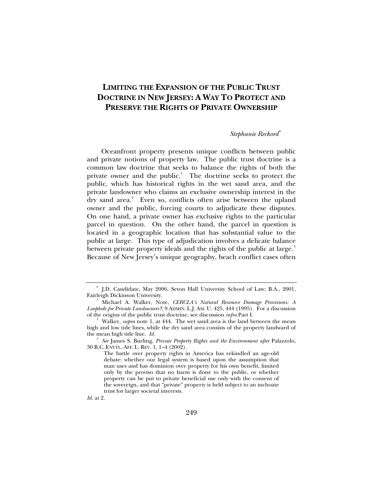# **LIMITING THE EXPANSION OF THE PUBLIC TRUST DOCTRINE IN NEW JERSEY: A WAY TO PROTECT AND PRESERVE THE RIGHTS OF PRIVATE OWNERSHIP**

## *Stephanie Reckord*[∗](#page-0-0)

Oceanfront property presents unique conflicts between public and private notions of property law. The public trust doctrine is a common law doctrine that seeks to balance the rights of both the private owner and the public. $1$  The doctrine seeks to protect the public, which has historical rights in the wet sand area, and the private landowner who claims an exclusive ownership interest in the dry sand area.<sup>[2](#page-0-2)</sup> Even so, conflicts often arise between the upland owner and the public, forcing courts to adjudicate these disputes. On one hand, a private owner has exclusive rights to the particular parcel in question. On the other hand, the parcel in question is located in a geographic location that has substantial value to the public at large. This type of adjudication involves a delicate balance between private property ideals and the rights of the public at large.<sup>[3](#page-0-3)</sup> Because of New Jersey's unique geography, beach conflict cases often

<span id="page-0-0"></span><sup>∗</sup> J.D. Candidate, May 2006, Seton Hall University School of Law; B.A., 2001, Fairleigh Dickinson University. 1

<span id="page-0-1"></span>Michael A. Walker, Note, *CERCLA's Natural Resource Damage Provisions: A Loophole for Private Landowners?*, 9 ADMIN. L.J. AM. U. 425, 444 (1995). For a discussion of the origins of the public trust doctrine, see discussion *infra* Part I. <sup>2</sup> Walker, *supra* note 1, at 444. The wet sand area is the land between the mean

<span id="page-0-2"></span>high and low tide lines, while the dry sand area consists of the property landward of the mean high tide line. *Id.* <sup>3</sup>

<span id="page-0-3"></span>*See* James S. Burling, *Private Property Rights and the Environment after* Palazzolo, 30 B.C. ENVTL. AFF. L. REV. 1, 1–4 (2002).

The battle over property rights in America has rekindled an age-old debate: whether our legal system is based upon the assumption that man uses and has dominion over property for his own benefit, limited only by the proviso that no harm is done to the public, or whether property can be put to private beneficial use only with the consent of the sovereign, and that "private" property is held subject to an inchoate trust for larger societal interests.

*Id.* at 2.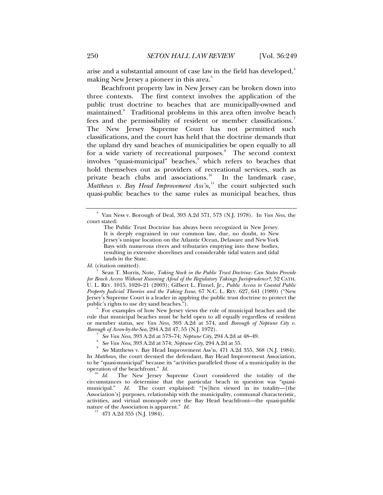arise and a substantial amount of case law in the field has developed, $4$ making New Jersey a pioneer in this area.<sup>[5](#page-1-1)</sup>

Beachfront property law in New Jersey can be broken down into three contexts. The first context involves the application of the public trust doctrine to beaches that are municipally-owned and maintained.<sup>[6](#page-1-2)</sup> Traditional problems in this area often involve beach fees and the permissibility of resident or member classifications.<sup>[7](#page-1-3)</sup> The New Jersey Supreme Court has not permitted such classifications, and the court has held that the doctrine demands that the upland dry sand beaches of municipalities be open equally to all for a wide variety of recreational purposes.<sup>[8](#page-1-4)</sup> The second context involves "quasi-municipal" beaches, which refers to beaches that hold themselves out as providers of recreational services, such as private beach clubs and associations. $10$  In the landmark case, Matthews v. Bay Head Improvement Ass'n,<sup>[11](#page-1-7)</sup> the court subjected such quasi-public beaches to the same rules as municipal beaches, thus

<span id="page-1-1"></span>5 Sean T. Morris, Note, *Taking Stock in the Public Trust Doctrine: Can States Provide for Beach Access Without Running Afoul of the Regulatory Takings Jurisprudence?*, 52 CATH. U. L. REV. 1015, 1020–21 (2003); Gilbert L. Finnel, Jr., *Public Access to Coastal Public Property Judicial Theories and the Taking Issue*, 67 N.C. L. REV. 627, 641 (1989) ("New Jersey's Supreme Court is a leader in applying the public trust doctrine to protect the public's rights to use dry sand beaches.").

<span id="page-1-2"></span> For examples of how New Jersey views the role of municipal beaches and the rule that municipal beaches must be held open to all equally regardless of resident or member status, see *Van Ness*, 393 A.2d at 574, and *Borough of Neptune City v. Borough of Avon-by-the-Sea*, 294 A.2d 47, 55 (N.J. 1972).<br><sup>7</sup> *See Van Ness*, 393 A.2d at 573–74; *Neptune City*, 294 A.2d at 48–49.

- *See Van Ness*, 393 A.2d at 573–74; *Neptune City*, 294 A.2d at 48–49. 8
- *See Van Ness*, 393 A.2d at 574; *Neptune City*, 294 A.2d at 55. 9

<span id="page-1-5"></span><span id="page-1-4"></span><span id="page-1-3"></span> *See* Matthews v. Bay Head Improvement Ass'n, 471 A.2d 355, 368 (N.J. 1984). In *Matthews*, the court deemed the defendant, Bay Head Improvement Association, to be "quasi-municipal" because its "activities paralleled those of a municipality in the operation of the beachfront." *Id.*<br><sup>10</sup> *Id.* The New Jersey Supreme Court considered the totality of the

<span id="page-1-7"></span><span id="page-1-6"></span>circumstances to determine that the particular beach in question was "quasimunicipal." *Id.* The court explained: "[w]hen viewed in its totality—[the Association's] purposes, relationship with the municipality, communal characteristic, activities, and virtual monopoly over the Bay Head beachfront—the quasi-public nature of the Association is apparent."  $Id$ .

<sup>11</sup> 471 A.2d 355 (N.J. 1984).

<span id="page-1-0"></span><sup>4</sup> Van Ness v. Borough of Deal, 393 A.2d 571, 573 (N.J. 1978). In *Van Ness*, the court stated:

The Public Trust Doctrine has always been recognized in New Jersey. It is deeply engrained in our common law, due, no doubt, to New Jersey's unique location on the Atlantic Ocean, Delaware and New York Bays with numerous rivers and tributaries emptying into these bodies, resulting in extensive shorelines and considerable tidal waters and tidal lands in the State.

*Id.* (citation omitted).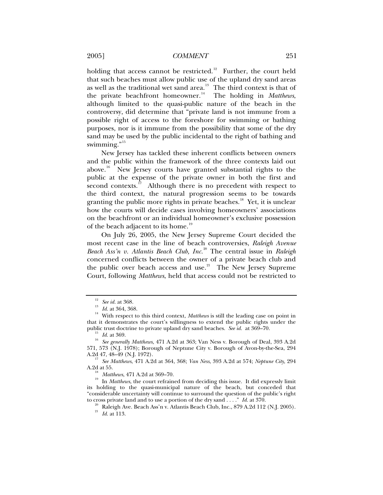holding that access cannot be restricted.<sup>[12](#page-2-0)</sup> Further, the court held that such beaches must allow public use of the upland dry sand areas as well as the traditional wet sand area.<sup>[13](#page-2-1)</sup> The third context is that of the private beachfront homeowner.<sup>[14](#page-2-2)</sup> The holding in *Matthews*, although limited to the quasi-public nature of the beach in the controversy, did determine that "private land is not immune from a possible right of access to the foreshore for swimming or bathing purposes, nor is it immune from the possibility that some of the dry sand may be used by the public incidental to the right of bathing and swimming."<sup>[15](#page-2-3)</sup>

New Jersey has tackled these inherent conflicts between owners and the public within the framework of the three contexts laid out above.<sup>[16](#page-2-4)</sup> New Jersey courts have granted substantial rights to the public at the expense of the private owner in both the first and second contexts.<sup>[17](#page-2-5)</sup> Although there is no precedent with respect to the third context, the natural progression seems to be towards granting the public more rights in private beaches.<sup>[18](#page-2-6)</sup> Yet, it is unclear how the courts will decide cases involving homeowners' associations on the beachfront or an individual homeowner's exclusive possession of the beach adjacent to its home.<sup>[19](#page-2-7)</sup>

On July 26, 2005, the New Jersey Supreme Court decided the most recent case in the line of beach controversies, *Raleigh Avenue Beach Ass'n v. Atlantis Beach Club, Inc.*[20](#page-2-8) The central issue in *Raleigh*  concerned conflicts between the owner of a private beach club and the public over beach access and use.<sup>[21](#page-2-9)</sup> The New Jersey Supreme Court, following *Matthews*, held that access could not be restricted to

<span id="page-2-2"></span><span id="page-2-1"></span><span id="page-2-0"></span><sup>&</sup>lt;sup>12</sup> See id. at 368.<br><sup>13</sup> Id. at 364, 368.<br><sup>14</sup> With respect to this third context, *Matthews* is still the leading case on point in that it demonstrates the court's willingness to extend the public rights under the public trust doctrine to private upland dry sand beaches. See id. at  $369-70$ .

<span id="page-2-4"></span><span id="page-2-3"></span><sup>&</sup>lt;sup>15</sup> Id. at 369.<br><sup>16</sup> See generally Matthews, 471 A.2d at 363; Van Ness v. Borough of Deal, 393 A.2d 571, 573 (N.J. 1978); Borough of Neptune City v. Borough of Avon-by-the-Sea, 294

<span id="page-2-5"></span><sup>&</sup>lt;sup>17</sup> See Matthews, 471 A.2d at 364, 368; *Van Ness*, 393 A.2d at 574; *Neptune City*, 294 A.2d at 55.

<span id="page-2-7"></span><span id="page-2-6"></span><sup>&</sup>lt;sup>18</sup> *Matthews*, 471 A.2d at 369–70.<br><sup>19</sup> In *Matthews*, the court refrained from deciding this issue. It did expressly limit its holding to the quasi-municipal nature of the beach, but conceded that "considerable uncertainty will continue to surround the question of the public's right

<span id="page-2-9"></span><span id="page-2-8"></span>to cross private land and to use a portion of the dry sand . . . ." *Id.* at 370.<br><sup>20</sup> Raleigh Ave. Beach Ass'n v. Atlantis Beach Club, Inc., 879 A.2d 112 (N.J. 2005). <sup>21</sup> *Id.* at 113.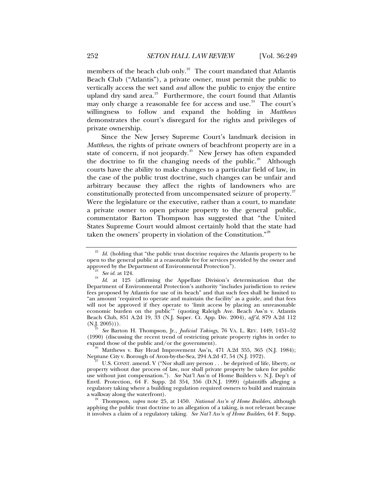members of the beach club only.<sup>[22](#page-3-0)</sup> The court mandated that Atlantis Beach Club ("Atlantis"), a private owner, must permit the public to vertically access the wet sand *and* allow the public to enjoy the entire upland dry sand area.<sup>[23](#page-3-1)</sup> Furthermore, the court found that Atlantis may only charge a reasonable fee for access and use.<sup>[24](#page-3-2)</sup> The court's willingness to follow and expand the holding in *Matthews* demonstrates the court's disregard for the rights and privileges of private ownership.

Since the New Jersey Supreme Court's landmark decision in *Matthews*, the rights of private owners of beachfront property are in a state of concern, if not jeopardy.<sup>[25](#page-3-3)</sup> New Jersey has often expanded the doctrine to fit the changing needs of the public.<sup>[26](#page-3-4)</sup> Although courts have the ability to make changes to a particular field of law, in the case of the public trust doctrine, such changes can be unfair and arbitrary because they affect the rights of landowners who are constitutionally protected from uncompensated seizure of property.<sup>[27](#page-3-5)</sup> Were the legislature or the executive, rather than a court, to mandate a private owner to open private property to the general public, commentator Barton Thompson has suggested that "the United States Supreme Court would almost certainly hold that the state had taken the owners' property in violation of the Constitution."<sup>[28](#page-3-6)</sup>

<span id="page-3-3"></span>(N.J. 2005))). 25 *See* Barton H. Thompson, Jr., *Judicial Takings*, 76 VA. L. REV. 1449, 1451–52 (1990) (discussing the recent trend of restricting private property rights in order to expand those of the public and/or the government).

<span id="page-3-4"></span> $e^{-26}$  Matthews v. Bay Head Improvement Ass'n, 471 A.2d 355, 365 (N.J. 1984);<br>Neptune City v. Borough of Avon-by-the-Sea, 294 A.2d 47, 54 (N.J. 1972).

<span id="page-3-6"></span><sup>28</sup> Thompson, *supra* note 25, at 1450. *National Ass'n of Home Builders*, although applying the public trust doctrine to an allegation of a taking, is not relevant because it involves a claim of a regulatory taking. *See Nat'l Ass'n of Home Builders*, 64 F. Supp.

<span id="page-3-0"></span> $2<sup>22</sup>$  *Id.* (holding that "the public trust doctrine requires the Atlantis property to be open to the general public at a reasonable fee for services provided by the owner and approved by the Department of Environmental Protection").

<span id="page-3-2"></span><span id="page-3-1"></span><sup>&</sup>lt;sup>23</sup> See id. at 124.<br><sup>24</sup> Id. at 125 (affirming the Appellate Division's determination that the Department of Environmental Protection's authority "includes jurisdiction to review fees proposed by Atlantis for use of its beach" and that such fees shall be limited to "an amount 'required to operate and maintain the facility' as a guide, and that fees will not be approved if they operate to 'limit access by placing an unreasonable economic burden on the public'" (quoting Raleigh Ave. Beach Ass'n v. Atlantis Beach Club, 851 A.2d 19, 33 (N.J. Super. Ct. App. Div. 2004), *aff'd*, 879 A.2d 112

<span id="page-3-5"></span>U.S. CONST. amend. V ("Nor shall any person . . . be deprived of life, liberty, or property without due process of law, nor shall private property be taken for public use without just compensation."). *See* Nat'l Ass'n of Home Builders v. N.J. Dep't of Envtl. Protection, 64 F. Supp. 2d 354, 356 (D.N.J. 1999) (plaintiffs alleging a regulatory taking where a building regulation required owners to build and maintain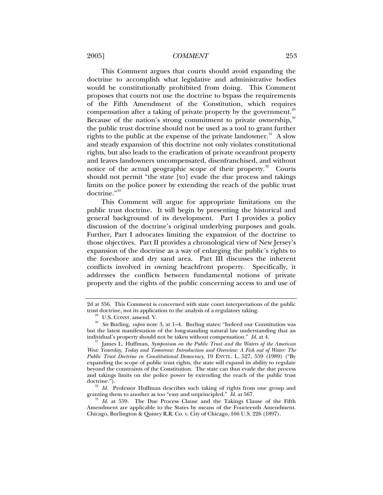### 2005] *COMMENT* 253

This Comment argues that courts should avoid expanding the doctrine to accomplish what legislative and administrative bodies would be constitutionally prohibited from doing. This Comment proposes that courts not use the doctrine to bypass the requirements of the Fifth Amendment of the Constitution, which requires compensation after a taking of private property by the government.<sup>[29](#page-4-0)</sup> Because of the nation's strong commitment to private ownership,<sup>[30](#page-4-1)</sup> the public trust doctrine should not be used as a tool to grant further rights to the public at the expense of the private landowner.<sup>[31](#page-4-2)</sup> A slow and steady expansion of this doctrine not only violates constitutional rights, but also leads to the eradication of private oceanfront property and leaves landowners uncompensated, disenfranchised, and without notice of the actual geographic scope of their property.<sup>[32](#page-4-3)</sup> Courts should not permit "the state [to] evade the due process and takings limits on the police power by extending the reach of the public trust doctrine."<sup>[33](#page-4-4)</sup>

This Comment will argue for appropriate limitations on the public trust doctrine. It will begin by presenting the historical and general background of its development. Part I provides a policy discussion of the doctrine's original underlying purposes and goals. Further, Part I advocates limiting the expansion of the doctrine to those objectives. Part II provides a chronological view of New Jersey's expansion of the doctrine as a way of enlarging the public's rights to the foreshore and dry sand area. Part III discusses the inherent conflicts involved in owning beachfront property. Specifically, it addresses the conflicts between fundamental notions of private property and the rights of the public concerning access to and use of

<sup>2</sup>d at 356. This Comment is concerned with state court interpretations of the public

<span id="page-4-1"></span><span id="page-4-0"></span>trust doctrine, not its application to the analysis of a regulatory taking. 29 U.S. CONST. amend. V. 30 *See* Burling, *supra* note 3, at 1–4. Burling states: "Indeed our Constitution was but the latest manifestation of the long-standing natural law understanding that an individual's property should not be taken without compensation."  $Id$  at 4.

<span id="page-4-2"></span>James L. Huffman, *Symposium on the Public Trust and the Waters of the American West: Yesterday, Today and Tomorrow: Introduction and Overview: A Fish out of Water: The Public Trust Doctrine in Constitutional Democracy*, 19 ENVTL. L. 527, 559 (1989) ("By expanding the scope of public trust rights, the state will expand its ability to regulate beyond the constraints of the Constitution. The state can thus evade the due process and takings limits on the police power by extending the reach of the public trust doctrine.").

<span id="page-4-3"></span><sup>&</sup>lt;sup>32</sup> *Id.* Professor Huffman describes such taking of rights from one group and granting them to another as too "easy and unprincipled." *Id.* at 567.

<span id="page-4-4"></span><sup>&</sup>lt;sup>33</sup> Id. at 559. The Due Process Clause and the Takings Clause of the Fifth Amendment are applicable to the States by means of the Fourteenth Amendment. Chicago, Burlington & Quincy R.R. Co. v. City of Chicago, 166 U.S. 226 (1897).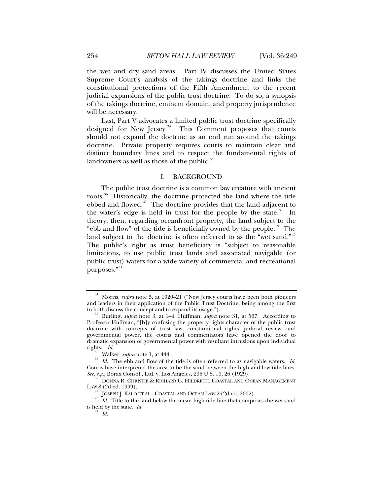the wet and dry sand areas. Part IV discusses the United States Supreme Court's analysis of the takings doctrine and links the constitutional protections of the Fifth Amendment to the recent judicial expansions of the public trust doctrine. To do so, a synopsis of the takings doctrine, eminent domain, and property jurisprudence will be necessary.

Last, Part V advocates a limited public trust doctrine specifically designed for New Jersey.<sup>[34](#page-5-0)</sup> This Comment proposes that courts should not expand the doctrine as an end run around the takings doctrine. Private property requires courts to maintain clear and distinct boundary lines and to respect the fundamental rights of landowners as well as those of the public. $35$ 

## I. BACKGROUND

The public trust doctrine is a common law creature with ancient roots.<sup>[36](#page-5-2)</sup> Historically, the doctrine protected the land where the tide ebbed and flowed. $\frac{s}{7}$  The doctrine provides that the land adjacent to the water's edge is held in trust for the people by the state. $38$  In theory, then, regarding oceanfront property, the land subject to the "ebb and flow" of the tide is beneficially owned by the people. $39$  The land subject to the doctrine is often referred to as the "wet sand." $40$ The public's right as trust beneficiary is "subject to reasonable limitations, to use public trust lands and associated navigable (or public trust) waters for a wide variety of commercial and recreational purposes."<sup>[41](#page-5-7)</sup>

<span id="page-5-0"></span><sup>&</sup>lt;sup>34</sup> Morris, *supra* note 5, at 1020–21 ("New Jersey courts have been both pioneers and leaders in their application of the Public Trust Doctrine, being among the first to both discuss the concept and to expand its usage.").

<span id="page-5-1"></span>Burling, *supra* note 3, at 1–4; Huffman, *supra* note 31, at 567. According to Professor Huffman, "[b]y confusing the property rights character of the public trust doctrine with concepts of trust law, constitutional rights, judicial review, and governmental power, the courts and commentators have opened the door to dramatic expansion of governmental power with resultant intrusions upon individual rights."  $Id$ .

<span id="page-5-3"></span><span id="page-5-2"></span><sup>&</sup>lt;sup>36</sup> Walker, *supra* note 1, at 444. <sup>37</sup> *Id.* The ebb and flow of the tide is often referred to as navigable waters. *Id.* Courts have interpreted the area to be the sand between the high and low tide lines.<br>See, e.g., Borax Consol., Ltd. v. Los Angeles, 296 U.S. 10, 26 (1929).

<span id="page-5-4"></span>**DONNA R. CHRISTIE & RICHARD G. HILDRETH, COASTAL AND OCEAN MANAGEMENT** LAW 8 (2d ed. 1999). 39 JOSEPH J. KALO ET AL., COASTAL AND OCEAN LAW 2 (2d ed. 2002). 40 *Id.* Title to the land below the mean high-tide line that comprises the wet sand

<span id="page-5-7"></span><span id="page-5-6"></span><span id="page-5-5"></span>is held by the state. *Id.*  $\frac{41}{1}$  *Id.*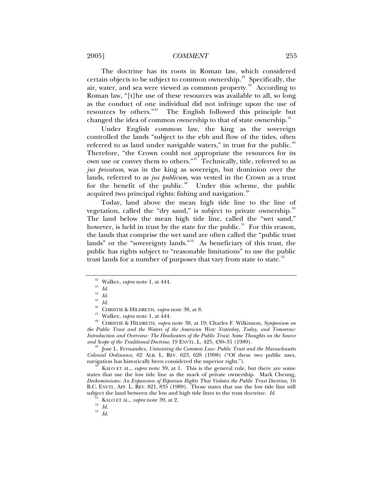### 2005] *COMMENT* 255

The doctrine has its roots in Roman law, which considered certain objects to be subject to common ownership.<sup>[42](#page-6-0)</sup> Specifically, the air, water, and sea were viewed as common property.<sup>[43](#page-6-1)</sup> According to Roman law, "[t]he use of these resources was available to all, so long as the conduct of one individual did not infringe upon the use of resources by others."<sup>[44](#page-6-2)</sup> The English followed this principle but changed the idea of common ownership to that of state ownership.<sup>[45](#page-6-3)</sup>

Under English common law, the king as the sovereign controlled the lands "subject to the ebb and flow of the tides, often referred to as land under navigable waters," in trust for the public.<sup>[46](#page-6-4)</sup> Therefore, "the Crown could not appropriate the resources for its own use or convey them to others."<sup>[47](#page-6-5)</sup> Technically, title, referred to as *jus privatum*, was in the king as sovereign, but dominion over the lands, referred to as *jus publicum*, was vested in the Crown as a trust for the benefit of the public. $48$  Under this scheme, the public acquired two principal rights: fishing and navigation.<sup>[49](#page-6-7)</sup>

Today, land above the mean high tide line to the line of vegetation, called the "dry sand," is subject to private ownership. $50$ The land below the mean high tide line, called the "wet sand," however, is held in trust by the state for the public. $51$  For this reason, the lands that comprise the wet sand are often called the "public trust lands" or the "sovereignty lands."<sup>[52](#page-6-10)</sup> As beneficiary of this trust, the public has rights subject to "reasonable limitations" to use the public trust lands for a number of purposes that vary from state to state.<sup>[53](#page-6-11)</sup>

<span id="page-6-7"></span>Jose L. Fernandez, *Untwisting the Common Law: Public Trust and the Massachusetts Colonial Ordinance*, 62 ALB. L. REV. 623, 628 (1998) ("Of these two public uses, navigation has historically been considered the superior right."). 50 KALO ET AL., *supra* note 39, at 1. This is the general rule, but there are some

<span id="page-6-9"></span><span id="page-6-8"></span>states that use the low tide line as the mark of private ownership. Mark Cheung, *Dockominiums: An Expansion of Riparian Rights That Violates the Public Trust Doctrine*, 16 B.C. ENVTL. AFF. L. REV. 821, 835 (1989). Those states that use the low tide line still subject the land between the low and high tide lines to the trust doctrine. *Id.* <sup>51</sup> KALO ET AL., *supra* note 39, at 2. <sup>52</sup> *Id.* <sup>53</sup> *IJ* 

<sup>&</sup>lt;sup>42</sup> Walker, *supra* note 1, at 444.<br><sup>43</sup> *Id.*<br><sup>44</sup> *IJ* 

<sup>44</sup> *Id.*

 $\frac{45}{46}$  *Id.* 

<span id="page-6-6"></span><span id="page-6-5"></span><span id="page-6-4"></span><span id="page-6-3"></span><span id="page-6-2"></span><span id="page-6-1"></span><span id="page-6-0"></span><sup>&</sup>lt;sup>46</sup> CHRISTIE & HILDRETH, *supra* note 38, at 8.<br><sup>47</sup> Walker, *supra* note 1, at 444.<br><sup>48</sup> CHRISTIE & HILDRETH, *supra* note 38, at 19; Charles F. Wilkinson, *Symposium on the Public Trust and the Waters of the American West: Yesterday, Today, and Tomorrow: Introduction and Overview: The Headwaters of the Public Trust: Some Thoughts on the Source* 

<span id="page-6-11"></span><span id="page-6-10"></span>

<sup>53</sup> *Id.*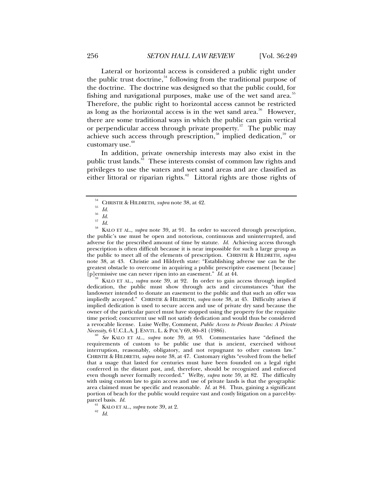Lateral or horizontal access is considered a public right under the public trust doctrine,  $54$  following from the traditional purpose of the doctrine. The doctrine was designed so that the public could, for fishing and navigational purposes, make use of the wet sand area.<sup>[55](#page-7-1)</sup> Therefore, the public right to horizontal access cannot be restricted as long as the horizontal access is in the wet sand area.<sup>[56](#page-7-2)</sup> However, there are some traditional ways in which the public can gain vertical or perpendicular access through private property.<sup>[57](#page-7-3)</sup> The public may achieve such access through prescription,<sup>[58](#page-7-4)</sup> implied dedication,<sup>[59](#page-7-5)</sup> or customary use. $60$ 

In addition, private ownership interests may also exist in the public trust lands.<sup>[61](#page-7-7)</sup> These interests consist of common law rights and privileges to use the waters and wet sand areas and are classified as either littoral or riparian rights.<sup>[62](#page-7-8)</sup> Littoral rights are those rights of

<span id="page-7-5"></span>KALO ET AL., *supra* note 39, at 92. In order to gain access through implied dedication, the public must show through acts and circumstances "that the landowner intended to donate an easement to the public and that such an offer was impliedly accepted." CHRISTIE & HILDRETH, *supra* note 38, at 45. Difficulty arises if implied dedication is used to secure access and use of private dry sand because the owner of the particular parcel must have stopped using the property for the requisite time period; concurrent use will not satisfy dedication and would thus be considered a revocable license. Luise Welby, Comment, *Public Access to Private Beaches: A Private* 

<span id="page-7-6"></span>*See* KALO ET AL., *supra* note 39, at 93. Commentaries have "defined the requirements of custom to be public use that is ancient, exercised without interruption, reasonably, obligatory, and not repugnant to other custom law." CHRISTIE & HILDRETH, *supra* note 38, at 47. Customary rights "evolved from the belief that a usage that lasted for centuries must have been founded on a legal right conferred in the distant past, and, therefore, should be recognized and enforced even though never formally recorded." Welby, *supra* note 59, at 82. The difficulty with using custom law to gain access and use of private lands is that the geographic area claimed must be specific and reasonable.  $I\hat{d}$  at 84. Thus, gaining a significant portion of beach for the public would require vast and costly litigation on a parcel-by-<br>parcel basis. Id.

<span id="page-7-8"></span><span id="page-7-7"></span><sup>61</sup> KALO ET AL., *supra* note 39, at 2.<br><sup>62</sup> *Id.* 

<sup>&</sup>lt;sup>54</sup> CHRISTIE & HILDRETH, *supra* note 38, at 42.<br><sup>55</sup> *Id.* 

 $rac{56}{57}$  *Id.*  $\frac{57}{58}$  *Id.* 

<span id="page-7-4"></span><span id="page-7-3"></span><span id="page-7-2"></span><span id="page-7-1"></span><span id="page-7-0"></span><sup>58</sup> KALO ET AL., *supra* note 39, at 91. In order to succeed through prescription, the public's use must be open and notorious, continuous and uninterrupted, and adverse for the prescribed amount of time by statute. *Id.* Achieving access through prescription is often difficult because it is near impossible for such a large group as the public to meet all of the elements of prescription. CHRISTIE & HILDRETH, *supra*  note 38, at 43. Christie and Hildreth state: "Establishing adverse use can be the greatest obstacle to overcome in acquiring a public prescriptive easement [because] [p] ermissive use can never ripen into an easement."  $Id$ . at 44.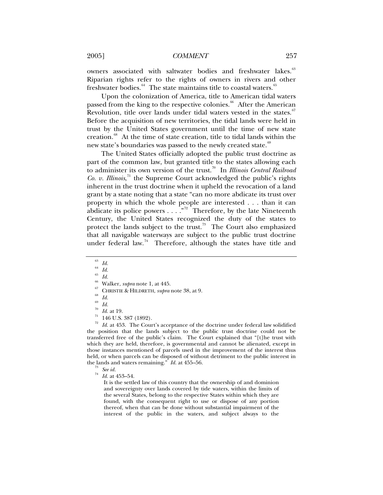2005] *COMMENT* 257

owners associated with saltwater bodies and freshwater lakes.<sup>[63](#page-8-0)</sup> Riparian rights refer to the rights of owners in rivers and other freshwater bodies. $^{64}$  $^{64}$  $^{64}$  The state maintains title to coastal waters. $^{65}$  $^{65}$  $^{65}$ 

Upon the colonization of America, title to American tidal waters passed from the king to the respective colonies.<sup>[66](#page-8-3)</sup> After the American Revolution, title over lands under tidal waters vested in the states. $67$ Before the acquisition of new territories, the tidal lands were held in trust by the United States government until the time of new state creation.<sup>[68](#page-8-5)</sup> At the time of state creation, title to tidal lands within the new state's boundaries was passed to the newly created state.<sup>[69](#page-8-6)</sup>

The United States officially adopted the public trust doctrine as part of the common law, but granted title to the states allowing each to administer its own version of the trust.[70](#page-8-7) In *Illinois Central Railroad Co. v. Illinois*, [71](#page-8-8) the Supreme Court acknowledged the public's rights inherent in the trust doctrine when it upheld the revocation of a land grant by a state noting that a state "can no more abdicate its trust over property in which the whole people are interested . . . than it can abdicate its police powers  $\dots$ ."<sup>[72](#page-8-9)</sup> Therefore, by the late Nineteenth Century, the United States recognized the duty of the states to protect the lands subject to the trust.<sup>[73](#page-8-10)</sup> The Court also emphasized that all navigable waterways are subject to the public trust doctrine under federal law.<sup>[74](#page-8-11)</sup> Therefore, although the states have title and

<span id="page-8-9"></span><span id="page-8-8"></span><span id="page-8-7"></span><span id="page-8-6"></span><span id="page-8-5"></span>Id. at 453. The Court's acceptance of the doctrine under federal law solidified the position that the lands subject to the public trust doctrine could not be transferred free of the public's claim. The Court explained that "[t]he trust with which they are held, therefore, is governmental and cannot be alienated, except in those instances mentioned of parcels used in the improvement of the interest thus held, or when parcels can be disposed of without detriment to the public interest in the lands and waters remaining." *Id.* at 455–56. 73 *See id.* <sup>74</sup> *Id.* at 453–54.

It is the settled law of this country that the ownership of and dominion and sovereignty over lands covered by tide waters, within the limits of the several States, belong to the respective States within which they are found, with the consequent right to use or dispose of any portion thereof, when that can be done without substantial impairment of the interest of the public in the waters, and subject always to the

<span id="page-8-0"></span> $\frac{63}{64}$  *Id.* 

<span id="page-8-1"></span> $\int_{65}^{64}$  *Id.* 

 $\frac{65}{66}$  *Id.* 

<span id="page-8-4"></span><span id="page-8-3"></span><span id="page-8-2"></span><sup>&</sup>lt;sup>67</sup> Walker, *supra* note 1, at 445.<br><sup>67</sup> CHRISTIE & HILDRETH, *supra* note 38, at 9.<br><sup>69</sup> *Id.* 

 $\frac{69}{70}$  *Id.* 

<sup>&</sup>lt;sup>70</sup> *Id.* at 19.<br><sup>71</sup> 146 U.S. 387 (1892).

<span id="page-8-11"></span><span id="page-8-10"></span>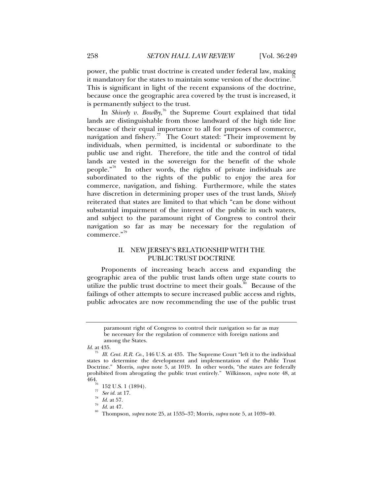power, the public trust doctrine is created under federal law, making it mandatory for the states to maintain some version of the doctrine.<sup>7</sup> This is significant in light of the recent expansions of the doctrine, because once the geographic area covered by the trust is increased, it is permanently subject to the trust.

In *Shively v. Bowlby*, [76](#page-9-1) the Supreme Court explained that tidal lands are distinguishable from those landward of the high tide line because of their equal importance to all for purposes of commerce, navigation and fishery.<sup>[77](#page-9-2)</sup> The Court stated: "Their improvement by individuals, when permitted, is incidental or subordinate to the public use and right. Therefore, the title and the control of tidal lands are vested in the sovereign for the benefit of the whole people."[78](#page-9-3) In other words, the rights of private individuals are subordinated to the rights of the public to enjoy the area for commerce, navigation, and fishing. Furthermore, while the states have discretion in determining proper uses of the trust lands, *Shively*  reiterated that states are limited to that which "can be done without substantial impairment of the interest of the public in such waters, and subject to the paramount right of Congress to control their navigation so far as may be necessary for the regulation of commerce."[79](#page-9-4)

# II. NEW JERSEY'S RELATIONSHIP WITH THE PUBLIC TRUST DOCTRINE

Proponents of increasing beach access and expanding the geographic area of the public trust lands often urge state courts to utilize the public trust doctrine to meet their goals.<sup>[80](#page-9-5)</sup> Because of the failings of other attempts to secure increased public access and rights, public advocates are now recommending the use of the public trust

paramount right of Congress to control their navigation so far as may be necessary for the regulation of commerce with foreign nations and among the States.

<span id="page-9-0"></span>*Id.* at 435.

<span id="page-9-1"></span>Ill. Cent. R.R. Co., 146 U.S. at 435. The Supreme Court "left it to the individual states to determine the development and implementation of the Public Trust Doctrine." Morris, *supra* note 5, at 1019. In other words, "the states are federally prohibited from abrogating the public trust entirely." Wilkinson, *supra* note 48, at

 $\frac{76}{77}$  152 U.S. 1 (1894).

<span id="page-9-2"></span>

<span id="page-9-4"></span><span id="page-9-3"></span>

<span id="page-9-5"></span>

<sup>77</sup> *See id.* at 17. 78 *Id.* at 57. 79 *Id.* at 47. 80 Thompson, *supra* note 25, at 1535–37; Morris, *supra* note 5, at 1039–40.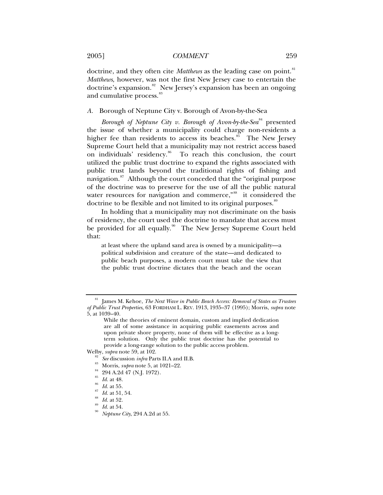doctrine, and they often cite *Matthews* as the leading case on point.<sup>[81](#page-10-0)</sup> *Matthews*, however, was not the first New Jersey case to entertain the doctrine's expansion.<sup>[82](#page-10-1)</sup> New Jersey's expansion has been an ongoing and cumulative process.<sup>[83](#page-10-2)</sup>

*A.* Borough of Neptune City v. Borough of Avon-by-the-Sea

*Borough of Neptune City v. Borough of Avon-by-the-Sea*<sup>[84](#page-10-3)</sup> presented the issue of whether a municipality could charge non-residents a higher fee than residents to access its beaches.<sup>[85](#page-10-4)</sup> The New Jersey Supreme Court held that a municipality may not restrict access based on individuals' residency.<sup>[86](#page-10-5)</sup> To reach this conclusion, the court utilized the public trust doctrine to expand the rights associated with public trust lands beyond the traditional rights of fishing and navigation.<sup>[87](#page-10-6)</sup> Although the court conceded that the "original purpose of the doctrine was to preserve for the use of all the public natural water resources for navigation and commerce,"<sup>[88](#page-10-7)</sup> it considered the doctrine to be flexible and not limited to its original purposes.<sup>[89](#page-10-8)</sup>

In holding that a municipality may not discriminate on the basis of residency, the court used the doctrine to mandate that access must be provided for all equally.<sup>[90](#page-10-9)</sup> The New Jersey Supreme Court held that:

at least where the upland sand area is owned by a municipality—a political subdivision and creature of the state—and dedicated to public beach purposes, a modern court must take the view that the public trust doctrine dictates that the beach and the ocean

- <span id="page-10-8"></span><span id="page-10-7"></span><span id="page-10-6"></span><span id="page-10-5"></span><span id="page-10-4"></span><span id="page-10-3"></span><span id="page-10-2"></span><span id="page-10-1"></span>Welby, *supra* note 59, at 102.<br><sup>82</sup> *See* discussion *infra* Parts II.A and II.B.<br><sup>83</sup> Morris, *supra* note 5, at 1021–22.<br><sup>84</sup> 294 A.2d 47 (N.J. 1972).
	-
	-
	-
	-
	-
	-
	-
	- *Id.* at 55.<br>*Id.* at 51, 54.<br>*Id.* at 52.<br>*Id.* at 54.<br>*Neptune City*, 294 A.2d at 55.

<span id="page-10-0"></span>James M. Kehoe, *The Next Wave in Public Beach Access: Removal of States as Trustees of Public Trust Properties*, 63 FORDHAM L. REV. 1913, 1935–37 (1995); Morris, *supra* note 5, at 1039–40.

While the theories of eminent domain, custom and implied dedication are all of some assistance in acquiring public easements across and upon private shore property, none of them will be effective as a longterm solution. Only the public trust doctrine has the potential to provide a long-range solution to the public access problem.

<span id="page-10-9"></span>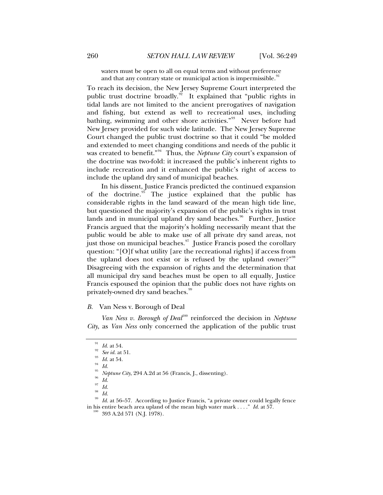waters must be open to all on equal terms and without preference and that any contrary state or municipal action is impermissible.<sup>9</sup>

To reach its decision, the New Jersey Supreme Court interpreted the public trust doctrine broadly.<sup>[92](#page-11-1)</sup> It explained that "public rights in tidal lands are not limited to the ancient prerogatives of navigation and fishing, but extend as well to recreational uses, including bathing, swimming and other shore activities."[93](#page-11-2) Never before had New Jersey provided for such wide latitude. The New Jersey Supreme Court changed the public trust doctrine so that it could "be molded and extended to meet changing conditions and needs of the public it was created to benefit."<sup>[94](#page-11-3)</sup> Thus, the *Neptune City* court's expansion of the doctrine was two-fold: it increased the public's inherent rights to include recreation and it enhanced the public's right of access to include the upland dry sand of municipal beaches.

In his dissent, Justice Francis predicted the continued expansion of the doctrine.<sup>[95](#page-11-4)</sup> The justice explained that the public has considerable rights in the land seaward of the mean high tide line, but questioned the majority's expansion of the public's rights in trust lands and in municipal upland dry sand beaches.<sup>[96](#page-11-5)</sup> Further, Justice Francis argued that the majority's holding necessarily meant that the public would be able to make use of all private dry sand areas, not just those on municipal beaches. $\frac{97}{1}$  $\frac{97}{1}$  $\frac{97}{1}$  Justice Francis posed the corollary question: "[O]f what utility [are the recreational rights] if access from the upland does not exist or is refused by the upland owner?"<sup>[98](#page-11-7)</sup> Disagreeing with the expansion of rights and the determination that all municipal dry sand beaches must be open to all equally, Justice Francis espoused the opinion that the public does not have rights on privately-owned dry sand beaches.<sup>[99](#page-11-8)</sup>

#### *B.* Van Ness v. Borough of Deal

<span id="page-11-0"></span>*Van Ness v. Borough of Deal*<sup>[100](#page-11-9)</sup> reinforced the decision in *Neptune City*, as *Van Ness* only concerned the application of the public trust

<span id="page-11-1"></span>

<sup>91</sup> *Id.* at 54. 92 *See id.* at 51. 93 *Id.* at 54. 94 *Id.*

<span id="page-11-3"></span><span id="page-11-2"></span>

<sup>&</sup>lt;sup>95</sup> *Neptune City*, 294 A.2d at 56 (Francis, J., dissenting).<br><sup>96</sup> *Id.* 

<sup>97</sup> *Id.*

 $\frac{98}{99}$  *Id.* 

<span id="page-11-9"></span><span id="page-11-8"></span><span id="page-11-7"></span><span id="page-11-6"></span><span id="page-11-5"></span><span id="page-11-4"></span>Id. at 56–57. According to Justice Francis, "a private owner could legally fence in his entire beach area upland of the mean high water mark . . . ." *Id.* at 57. <sup>100</sup> 393 A.2d 571 (N.J. 1978).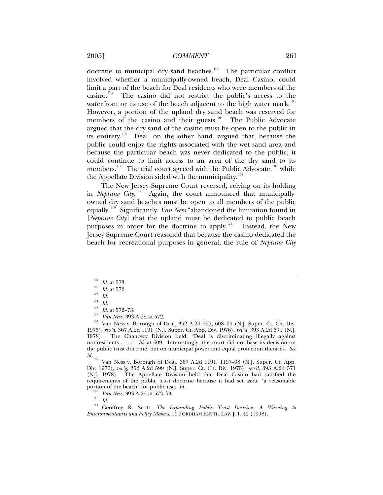doctrine to municipal dry sand beaches.<sup>[101](#page-12-0)</sup> The particular conflict involved whether a municipally-owned beach, Deal Casino, could limit a part of the beach for Deal residents who were members of the casino.<sup>[102](#page-12-1)</sup> The casino did not restrict the public's access to the waterfront or its use of the beach adjacent to the high water mark. $^{103}$  $^{103}$  $^{103}$ However, a portion of the upland dry sand beach was reserved for members of the casino and their guests.<sup>[104](#page-12-3)</sup> The Public Advocate argued that the dry sand of the casino must be open to the public in its entirety.<sup>[105](#page-12-4)</sup> Deal, on the other hand, argued that, because the public could enjoy the rights associated with the wet sand area and because the particular beach was never dedicated to the public, it could continue to limit access to an area of the dry sand to its members.<sup>[106](#page-12-5)</sup> The trial court agreed with the Public Advocate,  $107$  while the Appellate Division sided with the municipality.<sup>[108](#page-12-7)</sup>

The New Jersey Supreme Court reversed, relying on its holding in *Neptune Cit*y.<sup>[109](#page-12-8)</sup> Again, the court announced that municipallyowned dry sand beaches must be open to all members of the public equally.[110](#page-12-9) Significantly, *Van Ness* "abandoned the limitation found in [*Neptune City*] that the upland must be dedicated to public beach purposes in order for the doctrine to apply."<sup>[111](#page-12-10)</sup> Instead, the New Jersey Supreme Court reasoned that because the casino dedicated the beach for recreational purposes in general, the rule of *Neptune City* 

<span id="page-12-4"></span><span id="page-12-3"></span><span id="page-12-2"></span><span id="page-12-1"></span><span id="page-12-0"></span>101 *Id.* at 573.<br>
<sup>102</sup> *Id.* at 572.<br>
<sup>103</sup> *Id.* at 572–73.<br>
<sup>106</sup> *Van Ness*, 393 A.2d at 572.<br>
<sup>106</sup> *Van Ness* v. Borough of Deal, 352 A.2d 599, 608–09 (N.J. Super. Ct. Ch. Div.<br>
<sup>107</sup> Van Ness v. Borough of Deal, 35 1975), *rev'd*, 367 A.2d 1191 (N.J. Super. Ct. App. Div. 1976), *rev'd*, 393 A.2d 571 (N.J. 1978). The Chancery Division held: "Deal is discriminating illegally against nonresidents . . . ." *Id.* at 609. Interestingly, the court did not base its decision on the public trust doctrine, but on municipal power and equal protection theories. *See id.* <sup>108</sup> Van Ness v. Borough of Deal, 367 A.2d 1191, 1197–98 (N.J. Super. Ct. App.

<span id="page-12-7"></span>Div. 1976), *rev'g*, 352 A.2d 599 (N.J. Super. Ct. Ch. Div. 1975), *rev'd*, 393 A.2d 571 (N.J. 1978). The Appellate Division held that Deal Casino had satisfied the requirements of the public trust doctrine because it had set aside "a reasonable<br>portion of the beach" for public use. *Id.*<br> $I^{(109)}$   $K^{(100)}$   $N^{(110)}$   $N^{(200)}$   $A$  0.1  $K^{79}$   $K^{4}$ 

<span id="page-12-10"></span><span id="page-12-9"></span><span id="page-12-8"></span>portion of the beach" for public use. *Id.* <sup>109</sup> *Van Ness*, 393 A.2d at 573–74. 110 *Id.* 111 Geoffrey R. Scott, *The Expanding Public Trust Doctrine: A Warning to Environmentalists and Policy Makers*, 10 FORDHAM ENVTL. LAW J. 1, 42 (1998).

<span id="page-12-6"></span><span id="page-12-5"></span>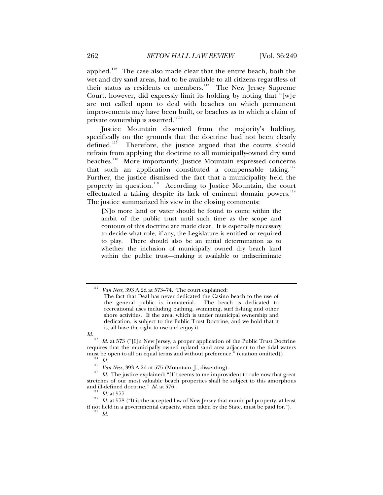applied.<sup>[112](#page-13-0)</sup> The case also made clear that the entire beach, both the wet and dry sand areas, had to be available to all citizens regardless of their status as residents or members.<sup>[113](#page-13-1)</sup> The New Jersey Supreme Court, however, did expressly limit its holding by noting that "[w]e are not called upon to deal with beaches on which permanent improvements may have been built, or beaches as to which a claim of private ownership is asserted."<sup>[114](#page-13-2)</sup>

Justice Mountain dissented from the majority's holding, specifically on the grounds that the doctrine had not been clearly defined.<sup>[115](#page-13-3)</sup> Therefore, the justice argued that the courts should refrain from applying the doctrine to all municipally-owned dry sand beaches.<sup>[116](#page-13-4)</sup> More importantly, Justice Mountain expressed concerns that such an application constituted a compensable taking. $117$ Further, the justice dismissed the fact that a municipality held the property in question.<sup>[118](#page-13-6)</sup> According to Justice Mountain, the court effectuated a taking despite its lack of eminent domain powers.<sup>[119](#page-13-7)</sup> The justice summarized his view in the closing comments:

[N]o more land or water should be found to come within the ambit of the public trust until such time as the scope and contours of this doctrine are made clear. It is especially necessary to decide what role, if any, the Legislature is entitled or required to play. There should also be an initial determination as to whether the inclusion of municipally owned dry beach land within the public trust—making it available to indiscriminate

<span id="page-13-1"></span>

<span id="page-13-0"></span><sup>112</sup> *Van Ness*, 393 A.2d at 573–74. The court explained:

The fact that Deal has never dedicated the Casino beach to the use of the general public is immaterial. The beach is dedicated to recreational uses including bathing, swimming, surf fishing and other shore activities. If the area, which is under municipal ownership and dedication, is subject to the Public Trust Doctrine, and we hold that it is, all have the right to use and enjoy it.

*Id.*<br><sup>113</sup> *Id.* at 573 ("[I]n New Jersey, a proper application of the Public Trust Doctrine requires that the municipally owned upland sand area adjacent to the tidal waters must be open to all on equal terms and without preference." (citation omitted)).<br>
<sup>114</sup> *Id.*<br>
<sup>115</sup> *Van Ness*, 393 A.2d at 575 (Mountain, J., dissenting).<br>
<sup>116</sup> *Id.* The justice explained: "[I]t seems to me improviden

<span id="page-13-4"></span><span id="page-13-3"></span><span id="page-13-2"></span>stretches of our most valuable beach properties shall be subject to this amorphous and ill-defined doctrine."  $Id.$  at 576.

<span id="page-13-7"></span><span id="page-13-6"></span><span id="page-13-5"></span><sup>&</sup>lt;sup>117</sup> *Id.* at 577. 118<br><sup>118</sup> *Id.* at 578 ("It is the accepted law of New Jersey that municipal property, at least if not held in a governmental capacity, when taken by the State, must be paid for.").  $\frac{119}{Id}$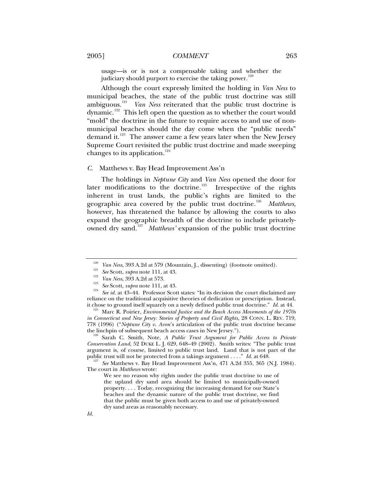usage—is or is not a compensable taking and whether the judiciary should purport to exercise the taking power.<sup>12</sup>

Although the court expressly limited the holding in *Van Ness* to municipal beaches, the state of the public trust doctrine was still ambiguous.<sup>[121](#page-14-1)</sup> *Van Ness* reiterated that the public trust doctrine is dynamic. $122$  This left open the question as to whether the court would "mold" the doctrine in the future to require access to and use of nonmunicipal beaches should the day come when the "public needs" demand it.<sup>[123](#page-14-3)</sup> The answer came a few years later when the New Jersey Supreme Court revisited the public trust doctrine and made sweeping changes to its application. $124$ 

#### *C.* Matthews v. Bay Head Improvement Ass'n

The holdings in *Neptune City* and *Van Ness* opened the door for later modifications to the doctrine.<sup>[125](#page-14-5)</sup> Irrespective of the rights inherent in trust lands, the public's rights are limited to the geographic area covered by the public trust doctrine.<sup>[126](#page-14-6)</sup> Matthews, however, has threatened the balance by allowing the courts to also expand the geographic breadth of the doctrine to include privately-owned dry sand.<sup>[127](#page-14-7)</sup> Matthews' expansion of the public trust doctrine

<span id="page-14-6"></span><sup>126</sup> Sarah C. Smith, Note, *A Public Trust Argument for Public Access to Private Conservation Land*, 52 DUKE L. J. 629, 648–49 (2002). Smith writes: "The public trust argument is, of course, limited to public trust land. Land that is not part of the public trust will not be protected from a takings argument ...."  $Id$ . at 648.

<span id="page-14-7"></span><sup>127</sup> See Matthews v. Bay Head Improvement Ass'n, 471 A.2d 355, 365 (N.J. 1984). The court in *Matthews* wrote:

<sup>&</sup>lt;sup>120</sup> Van Ness, 393 A.2d at 579 (Mountain, J., dissenting) (footnote omitted).<br><sup>121</sup> See Scott, *supra* note 111, at 43.<br><sup>122</sup> Van Ness, 393 A.2d at 573.<br><sup>123</sup> See Scott, *supra* note 111, at 43.<br><sup>124</sup> See id. at 43–44. P

<span id="page-14-4"></span><span id="page-14-3"></span><span id="page-14-2"></span><span id="page-14-1"></span><span id="page-14-0"></span>reliance on the traditional acquisitive theories of dedication or prescription. Instead, it chose to ground itself squarely on a newly defined public trust doctrine." *Id.* at 44. 125 Marc R. Poirier, *Environmental Justice and the Beach Access Movements of the 1970s* 

<span id="page-14-5"></span>*in Connecticut and New Jersey: Stories of Property and Civil Rights,* 28 CONN. L. REV. 719, 778 (1996) ("*Neptune City v. Avon*'s articulation of the public trust doctrine became

We see no reason why rights under the public trust doctrine to use of the upland dry sand area should be limited to municipally-owned property. . . . Today, recognizing the increasing demand for our State's beaches and the dynamic nature of the public trust doctrine, we find that the public must be given both access to and use of privately-owned dry sand areas as reasonably necessary.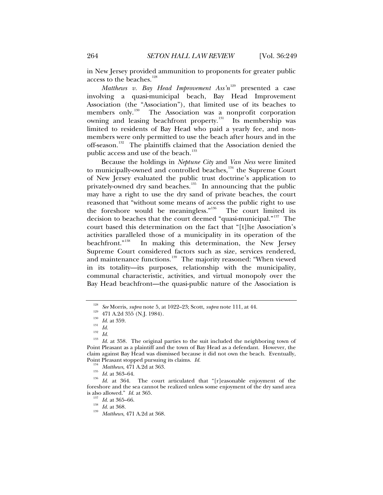in New Jersey provided ammunition to proponents for greater public access to the beaches.<sup>[128](#page-15-0)</sup>

*Matthews v. Bay Head Improvement Ass'n*<sup>[129](#page-15-1)</sup> presented a case involving a quasi-municipal beach, Bay Head Improvement Association (the "Association"), that limited use of its beaches to members only.<sup>[130](#page-15-2)</sup> The Association was a nonprofit corporation owning and leasing beachfront property.<sup>[131](#page-15-3)</sup> Its membership was limited to residents of Bay Head who paid a yearly fee, and nonmembers were only permitted to use the beach after hours and in the off-season.<sup>[132](#page-15-4)</sup> The plaintiffs claimed that the Association denied the public access and use of the beach.<sup>[133](#page-15-5)</sup>

Because the holdings in *Neptune City* and *Van Ness* were limited to municipally-owned and controlled beaches, $134$  the Supreme Court of New Jersey evaluated the public trust doctrine's application to privately-owned dry sand beaches.<sup>[135](#page-15-7)</sup> In announcing that the public may have a right to use the dry sand of private beaches, the court reasoned that "without some means of access the public right to use the foreshore would be meaningless."<sup>[136](#page-15-8)</sup> The court limited its decision to beaches that the court deemed "quasi-municipal."<sup>[137](#page-15-9)</sup> The court based this determination on the fact that "[t]he Association's activities paralleled those of a municipality in its operation of the beachfront."<sup>138</sup> In making this determination, the New Jersey In making this determination, the New Jersey Supreme Court considered factors such as size, services rendered, and maintenance functions.<sup>[139](#page-15-11)</sup> The majority reasoned: "When viewed in its totality—its purposes, relationship with the municipality, communal characteristic, activities, and virtual monopoly over the Bay Head beachfront—the quasi-public nature of the Association is

<span id="page-15-4"></span><span id="page-15-3"></span><span id="page-15-2"></span><span id="page-15-1"></span><span id="page-15-0"></span><sup>&</sup>lt;sup>128</sup> See Morris, *supra* note 5, at 1022–23; Scott, *supra* note 111, at 44.<br><sup>129</sup> 471 A.2d 355 (N.J. 1984).<br><sup>130</sup> Id. at 359.<br><sup>130</sup> Id.<br><sup>132</sup> Id.<br>Id. <sup>132</sup> Id.<br>Id. <sup>132</sup> Id. at 358. The original parties to the suit incl Point Pleasant as a plaintiff and the town of Bay Head as a defendant. However, the claim against Bay Head was dismissed because it did not own the beach. Eventually, Point Pleasant stopped pursuing its claims.  $Id$ .

<span id="page-15-9"></span><span id="page-15-8"></span><span id="page-15-7"></span><span id="page-15-6"></span><span id="page-15-5"></span><sup>&</sup>lt;sup>134</sup> Matthews, 471 A.2d at 363.<br><sup>135</sup> *Id.* at 363–64. The court articulated that "[r]easonable enjoyment of the *Id.* at 364. The court articulated that "[r]easonable enjoyment of the foreshore and the sea cannot be realized unless some enjoyment of the dry sand area is also allowed." *Id.* at 365. 137 *Id.* at 365–66. 138 *Id.* at 368. 139 *Matthews*, 471 A.2d at 368.

<span id="page-15-11"></span><span id="page-15-10"></span>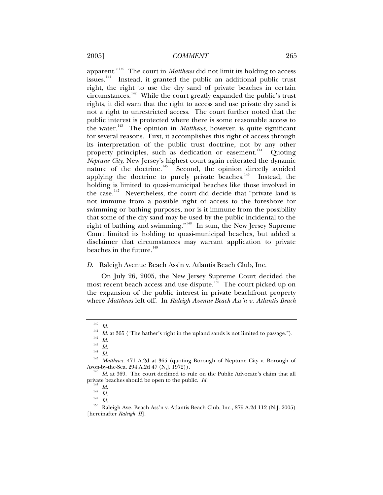apparent."[140](#page-16-0) The court in *Matthews* did not limit its holding to access issues. $141$  Instead, it granted the public an additional public trust right, the right to use the dry sand of private beaches in certain circumstances.[142](#page-16-2) While the court greatly expanded the public's trust rights, it did warn that the right to access and use private dry sand is not a right to unrestricted access. The court further noted that the public interest is protected where there is some reasonable access to the water.[143](#page-16-3) The opinion in *Matthews*, however, is quite significant for several reasons. First, it accomplishes this right of access through its interpretation of the public trust doctrine, not by any other property principles, such as dedication or easement.<sup>[144](#page-16-4)</sup> Quoting *Neptune City*, New Jersey's highest court again reiterated the dynamic nature of the doctrine.<sup>[145](#page-16-5)</sup> Second, the opinion directly avoided applying the doctrine to purely private beaches.<sup>[146](#page-16-6)</sup> Instead, the holding is limited to quasi-municipal beaches like those involved in the case. $147$  Nevertheless, the court did decide that "private land is not immune from a possible right of access to the foreshore for swimming or bathing purposes, nor is it immune from the possibility that some of the dry sand may be used by the public incidental to the right of bathing and swimming."[148](#page-16-8) In sum, the New Jersey Supreme Court limited its holding to quasi-municipal beaches, but added a disclaimer that circumstances may warrant application to private beaches in the future. $149$ 

#### *D.* Raleigh Avenue Beach Ass'n v. Atlantis Beach Club, Inc.

On July 26, 2005, the New Jersey Supreme Court decided the most recent beach access and use dispute.<sup>[150](#page-16-10)</sup> The court picked up on the expansion of the public interest in private beachfront property where *Matthews* left off. In *Raleigh Avenue Beach Ass'n v. Atlantis Beach* 

<span id="page-16-1"></span><span id="page-16-0"></span>

<sup>&</sup>lt;sup>140</sup> *Id.*<br>
<sup>141</sup> *Id.* at 365 ("The bather's right in the upland sands is not limited to passage.").<br>
<sup>142</sup> *Id.*<br>
<sup>143</sup> *Id.*<br>
<sup>143</sup> *Id.*<br>
<sup>143</sup> *Id.*<br>
<sup>143</sup> *Id.*<br>
<sup>144</sup> *Id.*<br>
<sup>145</sup> *Matthews*, 471 A.2d at 365 (quot

<span id="page-16-4"></span><span id="page-16-3"></span><span id="page-16-2"></span>

<span id="page-16-6"></span><span id="page-16-5"></span>Avon-by-the-Sea, 294 A.2d 47 (N.J. 1972)).<br><sup>146</sup> *Id.* at 369. The court declined to rule on the Public Advocate's claim that all private beaches should be open to the public. *Id.* 

<span id="page-16-10"></span><span id="page-16-9"></span><span id="page-16-8"></span><span id="page-16-7"></span>private *Id.*<br><sup>148</sup> *Id. Id. Id.* 149 *Id.* 148<sup> *Id.* 149</sub> *Id.* 2005)</sup> [hereinafter *Raleigh II*].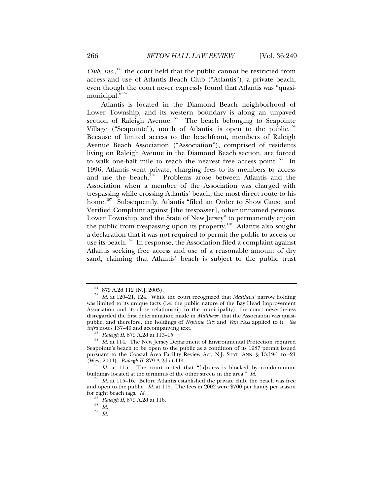*Club, Inc.*,<sup>[151](#page-17-0)</sup> the court held that the public cannot be restricted from access and use of Atlantis Beach Club ("Atlantis"), a private beach, even though the court never expressly found that Atlantis was "quasi-municipal."<sup>[152](#page-17-1)</sup>

Atlantis is located in the Diamond Beach neighborhood of Lower Township, and its western boundary is along an unpaved section of Raleigh Avenue.<sup>[153](#page-17-2)</sup> The beach belonging to Seapointe Village ("Seapointe"), north of Atlantis, is open to the public.<sup>[154](#page-17-3)</sup> Because of limited access to the beachfront, members of Raleigh Avenue Beach Association ("Association"), comprised of residents living on Raleigh Avenue in the Diamond Beach section, are forced to walk one-half mile to reach the nearest free access point.<sup>[155](#page-17-4)</sup> In 1996, Atlantis went private, charging fees to its members to access and use the beach.<sup>[156](#page-17-5)</sup> Problems arose between Atlantis and the Association when a member of the Association was charged with trespassing while crossing Atlantis' beach, the most direct route to his home.<sup>[157](#page-17-6)</sup> Subsequently, Atlantis "filed an Order to Show Cause and Verified Complaint against [the trespasser], other unnamed persons, Lower Township, and the State of New Jersey" to permanently enjoin the public from trespassing upon its property.<sup>[158](#page-17-7)</sup> Atlantis also sought a declaration that it was not required to permit the public to access or use its beach.<sup>[159](#page-17-8)</sup> In response, the Association filed a complaint against Atlantis seeking free access and use of a reasonable amount of dry sand, claiming that Atlantis' beach is subject to the public trust

<span id="page-17-1"></span><span id="page-17-0"></span> $^{151}$  879 A.2d 112 (N.J. 2005).  $^{152}$   $\,$  Id. at 120–21, 124. While the court recognized that *Matthews'* narrow holding was limited to its unique facts (i.e. the public nature of the Bay Head Improvement Association and its close relationship to the municipality), the court nevertheless disregarded the first determination made in *Matthews*: that the Association was quasipublic, and therefore, the holdings of *Neptune City* and *Van Ness* applied to it. *See*

<span id="page-17-3"></span><span id="page-17-2"></span><sup>&</sup>lt;sup>153</sup> Raleigh II, 879 A.2d at 113–15.<br><sup>154</sup> Id. at 114. The New Jersey Department of Environmental Protection required Seapointe's beach to be open to the public as a condition of its 1987 permit issued pursuant to the Coastal Area Facility Review Act, N.J. STAT. ANN. § 13:19-1 to -21 (West 2004). Raleigh II, 879 A.2d at 114.

<span id="page-17-4"></span><sup>&</sup>lt;sup>155</sup> *Id.* at 115. The court noted that "[a]ccess is blocked by condominium buildings located at the terminus of the other streets in the area." *Id.* 

<span id="page-17-8"></span><span id="page-17-7"></span><span id="page-17-6"></span><span id="page-17-5"></span> $\frac{156}{10}$  *Id.* at 115–16. Before Atlantis established the private club, the beach was free and open to the public. *Id.* at 115. The fees in 2002 were \$700 per family per season for eight beach tags. *Id.* <sup>157</sup> *Raleigh II*, 879 A.2d at 116. 158 *Id.* <sup>159</sup> *Id.*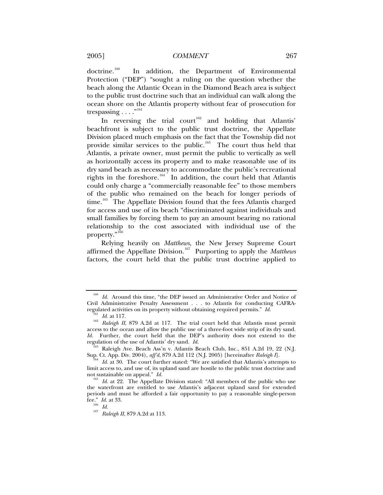doctrine.<sup>[160](#page-18-0)</sup> In addition, the Department of Environmental Protection ("DEP") "sought a ruling on the question whether the beach along the Atlantic Ocean in the Diamond Beach area is subject to the public trust doctrine such that an individual can walk along the ocean shore on the Atlantis property without fear of prosecution for trespassing  $\ldots$ ."<sup>[161](#page-18-1)</sup>

In reversing the trial court<sup>[162](#page-18-2)</sup> and holding that Atlantis' beachfront is subject to the public trust doctrine, the Appellate Division placed much emphasis on the fact that the Township did not provide similar services to the public.<sup>[163](#page-18-3)</sup> The court thus held that Atlantis, a private owner, must permit the public to vertically as well as horizontally access its property and to make reasonable use of its dry sand beach as necessary to accommodate the public's recreational rights in the foreshore.<sup>[164](#page-18-4)</sup> In addition, the court held that Atlantis could only charge a "commercially reasonable fee" to those members of the public who remained on the beach for longer periods of time.<sup>[165](#page-18-5)</sup> The Appellate Division found that the fees Atlantis charged for access and use of its beach "discriminated against individuals and small families by forcing them to pay an amount bearing no rational relationship to the cost associated with individual use of the property."<sup>[166](#page-18-6)</sup>

Relying heavily on *Matthews*, the New Jersey Supreme Court affirmed the Appellate Division.[167](#page-18-7) Purporting to apply the *Matthews*  factors, the court held that the public trust doctrine applied to

<span id="page-18-0"></span><sup>&</sup>lt;sup>160</sup> Id. Around this time, "the DEP issued an Administrative Order and Notice of Civil Administrative Penalty Assessment . . . to Atlantis for conducting CAFRA-regulated activities on its property without obtaining required permits."  $Id$ .

<span id="page-18-2"></span><span id="page-18-1"></span><sup>&</sup>lt;sup>161</sup> *Id.* at 117.<br><sup>162</sup> *Raleigh II*, 879 A.2d at 117. The trial court held that Atlantis must permit access to the ocean and allow the public use of a three-foot wide strip of its dry sand. *Id.* Further, the court held that the DEP's authority does not extend to the regulation of the use of Atlantis' dry sand. *Id.* 

<span id="page-18-3"></span><sup>&</sup>lt;sup>163</sup> Raleigh Ave. Beach Ass'n v. Atlantis Beach Club, Inc., 851 A.2d 19, 22 (N.J. Sup. Ct. App. Div. 2004), *aff<sup>2</sup>d*, 879 A.2d 112 (N.J. 2005) [hereinafter *Raleigh I*].

<span id="page-18-4"></span>Id. at 30. The court further stated: "We are satisfied that Atlantis's attempts to limit access to, and use of, its upland sand are hostile to the public trust doctrine and not sustainable on appeal." *Id.*<br><sup>165</sup> *Id.* at 22. The Appellate Division stated: "All members of the public who use

<span id="page-18-7"></span><span id="page-18-6"></span><span id="page-18-5"></span>the waterfront are entitled to use Atlantis's adjacent upland sand for extended periods and must be afforded a fair opportunity to pay a reasonable single-person fee." *Id.* at 33.<br><sup>166</sup> *Id.* 

<sup>&</sup>lt;sup>167</sup> *Raleigh II*, 879 A.2d at 113.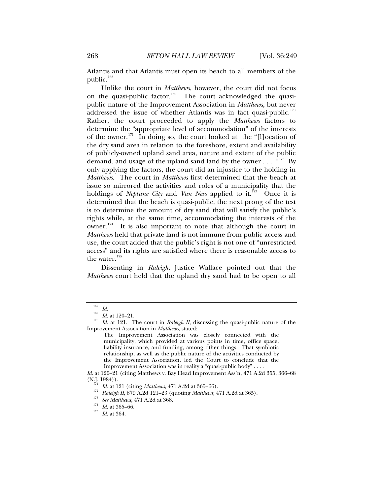Atlantis and that Atlantis must open its beach to all members of the public.<sup>[168](#page-19-0)</sup>

Unlike the court in *Matthews*, however, the court did not focus on the quasi-public factor.<sup>[169](#page-19-1)</sup> The court acknowledged the quasipublic nature of the Improvement Association in *Matthews*, but never addressed the issue of whether Atlantis was in fact quasi-public.<sup>[170](#page-19-2)</sup> Rather, the court proceeded to apply the *Matthews* factors to determine the "appropriate level of accommodation" of the interests of the owner.<sup>[171](#page-19-3)</sup> In doing so, the court looked at the "[l]ocation of the dry sand area in relation to the foreshore, extent and availability of publicly-owned upland sand area, nature and extent of the public demand, and usage of the upland sand land by the owner . . . . "<sup>[172](#page-19-4)</sup> By only applying the factors, the court did an injustice to the holding in *Matthews*. The court in *Matthews* first determined that the beach at issue so mirrored the activities and roles of a municipality that the holdings of *Neptune City* and *Van Ness* applied to it.<sup>[173](#page-19-5)</sup> Once it is determined that the beach is quasi-public, the next prong of the test is to determine the amount of dry sand that will satisfy the public's rights while, at the same time, accommodating the interests of the owner. $174$  It is also important to note that although the court in *Matthews* held that private land is not immune from public access and use, the court added that the public's right is not one of "unrestricted access" and its rights are satisfied where there is reasonable access to the water. $175$ 

Dissenting in *Raleigh*, Justice Wallace pointed out that the *Matthews* court held that the upland dry sand had to be open to all

<span id="page-19-2"></span><span id="page-19-1"></span><span id="page-19-0"></span><sup>168</sup> *Id.* <sup>169</sup> *Id.* at 120–21. 170 *Id.* at 121. The court in *Raleigh II*, discussing the quasi-public nature of the Improvement Association in *Matthews*, stated:

The Improvement Association was closely connected with the municipality, which provided at various points in time, office space, liability insurance, and funding, among other things. That symbiotic relationship, as well as the public nature of the activities conducted by the Improvement Association, led the Court to conclude that the Improvement Association was in reality a "quasi-public body" . . . .

<span id="page-19-6"></span><span id="page-19-5"></span><span id="page-19-4"></span><span id="page-19-3"></span>*Id.* at 120–21 (citing Matthews v. Bay Head Improvement Ass'n, 471 A.2d 355, 366–68 (N.J. 1984)).

<sup>&</sup>lt;sup>171</sup> *Id.* at 121 (citing *Matthews*, 471 A.2d at 365–66).<br>
<sup>172</sup> *Raleigh II*, 879 A.2d 121–23 (quoting *Matthews*, 471 A.2d at 365).<br>
<sup>173</sup> *See Matthews*, 471 A.2d at 368.<br>
<sup>174</sup> *Id.* at 365–66.<br> *Id.* at 364.

<span id="page-19-7"></span>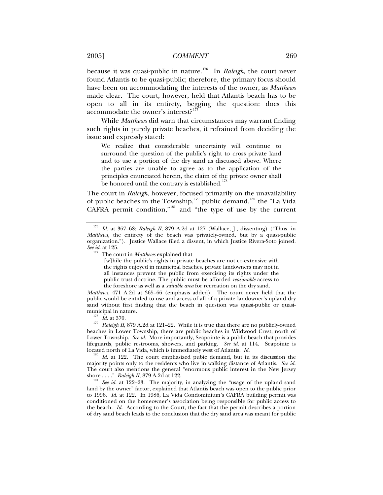## 2005] *COMMENT* 269

because it was quasi-public in nature.<sup>[176](#page-20-0)</sup> In *Raleigh*, the court never found Atlantis to be quasi-public; therefore, the primary focus should have been on accommodating the interests of the owner, as *Matthews* made clear. The court, however, held that Atlantis beach has to be open to all in its entirety, begging the question: does this accommodate the owner's interest?

While *Matthews* did warn that circumstances may warrant finding such rights in purely private beaches, it refrained from deciding the issue and expressly stated:

We realize that considerable uncertainty will continue to surround the question of the public's right to cross private land and to use a portion of the dry sand as discussed above. Where the parties are unable to agree as to the application of the principles enunciated herein, the claim of the private owner shall be honored until the contrary is established.<sup>1</sup>

The court in *Raleigh*, however, focused primarily on the unavailability of public beaches in the Township,<sup>[179](#page-20-3)</sup> public demand,<sup>[180](#page-20-4)</sup> the "La Vida CAFRA permit condition,"[181](#page-20-5) and "the type of use by the current

*Matthews*, 471 A.2d at 365–66 (emphasis added). The court never held that the public would be entitled to use and access of all of a private landowner's upland dry sand without first finding that the beach in question was quasi-public or quasi-

<span id="page-20-3"></span><span id="page-20-2"></span>municipal in nature.<br><sup>178</sup> *Id.* at 370.<br><sup>179</sup> *Raleigh II*, 879 A.2d at 121–22. While it is true that there are no publicly-owned beaches in Lower Township, there are public beaches in Wildwood Crest, north of Lower Township. *See id.* More importantly, Seapointe is a public beach that provides lifeguards, public restrooms, showers, and parking. *See id.* at 114. Seapointe is

<span id="page-20-4"></span>Id. at 122. The court emphasized pubic demand, but in its discussion the majority points only to the residents who live in walking distance of Atlantis. *See id.* The court also mentions the general "enormous public interest in the New Jersey

<span id="page-20-5"></span>shore ...." *Raleigh II*, 879 A.2d at 122.<br><sup>181</sup> *See id.* at 122–23. The majority, in analyzing the "usage of the upland sand land by the owner" factor, explained that Atlantis beach was open to the public prior to 1996. *Id.* at 122. In 1986, La Vida Condominium's CAFRA building permit was conditioned on the homeowner's association being responsible for public access to the beach. *Id.* According to the Court, the fact that the permit describes a portion of dry sand beach leads to the conclusion that the dry sand area was meant for public

<span id="page-20-1"></span><span id="page-20-0"></span><sup>176</sup> *Id.* at 367–68; *Raleigh II*, 879 A.2d at 127 (Wallace, J., dissenting) ("Thus, in *Matthews*, the entirety of the beach was privately-owned, but by a quasi-public organization."). Justice Wallace filed a dissent, in which Justice Rivera-Soto joined.<br>See id. at 125.

<sup>&</sup>lt;sup>177</sup> The court in *Matthews* explained that

<sup>[</sup>w]hile the public's rights in private beaches are not co-extensive with the rights enjoyed in municipal beaches, private landowners may not in all instances prevent the public from exercising its rights under the public trust doctrine. The public must be afforded *reasonable* access to the foreshore as well as a *suitable area* for recreation on the dry sand.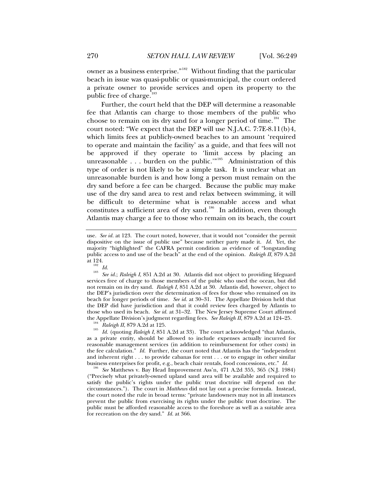owner as a business enterprise."<sup>[182](#page-21-0)</sup> Without finding that the particular beach in issue was quasi-public or quasi-municipal, the court ordered a private owner to provide services and open its property to the public free of charge.<sup>[183](#page-21-1)</sup>

Further, the court held that the DEP will determine a reasonable fee that Atlantis can charge to those members of the public who choose to remain on its dry sand for a longer period of time.<sup>[184](#page-21-2)</sup> The court noted: "We expect that the DEP will use N.J.A.C. 7:7E-8.11(b)4, which limits fees at publicly-owned beaches to an amount 'required to operate and maintain the facility' as a guide, and that fees will not be approved if they operate to 'limit access by placing an unreasonable . . . burden on the public."<sup>[185](#page-21-3)</sup> Administration of this type of order is not likely to be a simple task. It is unclear what an unreasonable burden is and how long a person must remain on the dry sand before a fee can be charged. Because the public may make use of the dry sand area to rest and relax between swimming, it will be difficult to determine what is reasonable access and what constitutes a sufficient area of dry sand.<sup>[186](#page-21-4)</sup> In addition, even though Atlantis may charge a fee to those who remain on its beach, the court

<span id="page-21-1"></span><span id="page-21-0"></span><sup>182</sup> Id.<br><sup>183</sup> See id.; Raleigh I, 851 A.2d at 30. Atlantis did not object to providing lifeguard services free of charge to those members of the pubic who used the ocean, but did not remain on its dry sand. *Raleigh I*, 851 A.2d at 30.Atlantis did, however, object to the DEP's jurisdiction over the determination of fees for those who remained on its beach for longer periods of time. *See id.* at 30–31. The Appellate Division held that the DEP did have jurisdiction and that it could review fees charged by Atlantis to those who used its beach. *See id.* at 31–32. The New Jersey Supreme Court affirmed the Appellate Division's judgment regarding fees. *See Raleigh II*, 879 A.2d at 124–25.<br><sup>184</sup> Raleigh II, 879 A.2d at 125.<br><sup>185</sup> Id. (quoting *Raleigh I*, 851 A.2d at 33). The court acknowledged "that Atlantis,

<span id="page-21-3"></span><span id="page-21-2"></span>as a private entity, should be allowed to include expenses actually incurred for reasonable management services (in addition to reimbursement for other costs) in the fee calculation." *Id.* Further, the court noted that Atlantis has the "independent and inherent right . . . to provide cabanas for rent . . . or to engage in other similar

<span id="page-21-4"></span>business enterprises for profit, e.g., beach chair rentals, food concessions, etc." *Id.* <sup>186</sup> *See* Matthews v. Bay Head Improvement Ass'n, 471 A.2d 355, 365 (N.J. 1984) ("Precisely what privately-owned upland sand area will be available and required to satisfy the public's rights under the public trust doctrine will depend on the circumstances."). The court in *Matthews* did not lay out a precise formula. Instead, the court noted the rule in broad terms: "private landowners may not in all instances prevent the public from exercising its rights under the public trust doctrine. The public must be afforded reasonable access to the foreshore as well as a suitable area for recreation on the dry sand." *Id.* at 366.

use. *See id.* at 123. The court noted, however, that it would not "consider the permit dispositive on the issue of public use" because neither party made it. *Id.* Yet, the majority "highlighted" the CAFRA permit condition as evidence of "longstanding public access to and use of the beach" at the end of the opinion. *Raleigh II*, 879 A.2d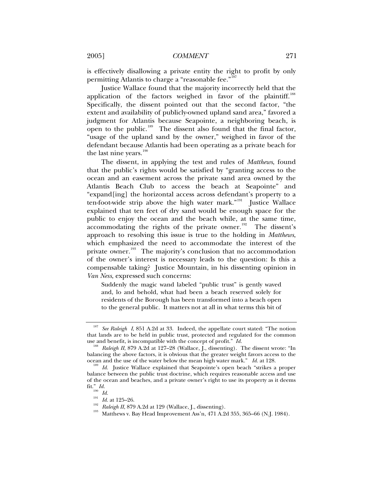is effectively disallowing a private entity the right to profit by only permitting Atlantis to charge a "reasonable fee."<sup>[187](#page-22-0)</sup>

Justice Wallace found that the majority incorrectly held that the application of the factors weighed in favor of the plaintiff.<sup>[188](#page-22-1)</sup> Specifically, the dissent pointed out that the second factor, "the extent and availability of publicly-owned upland sand area," favored a judgment for Atlantis because Seapointe, a neighboring beach, is open to the public.<sup>[189](#page-22-2)</sup> The dissent also found that the final factor, "usage of the upland sand by the owner," weighed in favor of the defendant because Atlantis had been operating as a private beach for the last nine years. $190$ 

The dissent, in applying the test and rules of *Matthews*, found that the public's rights would be satisfied by "granting access to the ocean and an easement across the private sand area owned by the Atlantis Beach Club to access the beach at Seapointe" and "expand[ing] the horizontal access across defendant's property to a ten-foot-wide strip above the high water mark."<sup>[191](#page-22-4)</sup> Justice Wallace explained that ten feet of dry sand would be enough space for the public to enjoy the ocean and the beach while, at the same time, accommodating the rights of the private owner.<sup>[192](#page-22-5)</sup> The dissent's approach to resolving this issue is true to the holding in *Matthews*, which emphasized the need to accommodate the interest of the private owner.<sup>[193](#page-22-6)</sup> The majority's conclusion that no accommodation of the owner's interest is necessary leads to the question: Is this a compensable taking? Justice Mountain, in his dissenting opinion in *Van Ness*, expressed such concerns:

Suddenly the magic wand labeled "public trust" is gently waved and, lo and behold, what had been a beach reserved solely for residents of the Borough has been transformed into a beach open to the general public. It matters not at all in what terms this bit of

<span id="page-22-0"></span><sup>&</sup>lt;sup>187</sup> See Raleigh I, 851 A.2d at 33. Indeed, the appellate court stated: "The notion that lands are to be held in public trust, protected and regulated for the common use and benefit, is incompatible with the concept of profit."  $Id$ .

<span id="page-22-1"></span>Raleigh II, 879 A.2d at 127–28 (Wallace, J., dissenting). The dissent wrote: "In balancing the above factors, it is obvious that the greater weight favors access to the ocean and the use of the water below the mean high water mark."  $Id$  at 128.

<span id="page-22-4"></span><span id="page-22-3"></span><span id="page-22-2"></span>Id. Justice Wallace explained that Seapointe's open beach "strikes a proper balance between the public trust doctrine, which requires reasonable access and use of the ocean and beaches, and a private owner's right to use its property as it deems fit."  $Id$ .<br>
<sup>190</sup>  $Id$ .<br>
<sup>191</sup>  $Id$ . at 125–26.

<span id="page-22-6"></span><span id="page-22-5"></span>*Id.* at 125–26.<br><sup>192</sup> *Raleigh II*, 879 A.2d at 129 (Wallace, J., dissenting).<br><sup>193</sup> Matthews v. Bay Head Improvement Ass'n, 471 A.2d 355, 365–66 (N.J. 1984).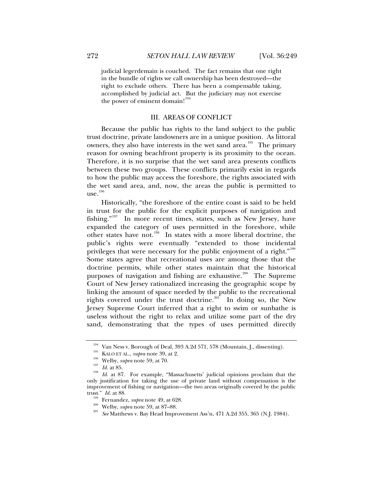judicial legerdemain is couched. The fact remains that one right in the bundle of rights we call ownership has been destroyed—the right to exclude others. There has been a compensable taking, accomplished by judicial act. But the judiciary may not exercise the power of eminent domain!<sup>[194](#page-23-0)</sup>

## III. AREAS OF CONFLICT

Because the public has rights to the land subject to the public trust doctrine, private landowners are in a unique position. As littoral owners, they also have interests in the wet sand area.<sup>[195](#page-23-1)</sup> The primary reason for owning beachfront property is its proximity to the ocean. Therefore, it is no surprise that the wet sand area presents conflicts between these two groups. These conflicts primarily exist in regards to how the public may access the foreshore, the rights associated with the wet sand area, and, now, the areas the public is permitted to  $use.<sup>196</sup>$  $use.<sup>196</sup>$  $use.<sup>196</sup>$ 

Historically, "the foreshore of the entire coast is said to be held in trust for the public for the explicit purposes of navigation and fishing." $197$  In more recent times, states, such as New Jersey, have expanded the category of uses permitted in the foreshore, while other states have not.<sup>[198](#page-23-4)</sup> In states with a more liberal doctrine, the public's rights were eventually "extended to those incidental privileges that were necessary for the public enjoyment of a right."<sup>[199](#page-23-5)</sup> Some states agree that recreational uses are among those that the doctrine permits, while other states maintain that the historical purposes of navigation and fishing are exhaustive.<sup>[200](#page-23-6)</sup> The Supreme Court of New Jersey rationalized increasing the geographic scope by linking the amount of space needed by the public to the recreational rights covered under the trust doctrine.<sup>[201](#page-23-7)</sup> In doing so, the New Jersey Supreme Court inferred that a right to swim or sunbathe is useless without the right to relax and utilize some part of the dry sand, demonstrating that the types of uses permitted directly

<span id="page-23-4"></span><span id="page-23-3"></span><span id="page-23-2"></span><span id="page-23-1"></span><span id="page-23-0"></span><sup>&</sup>lt;sup>194</sup> Van Ness v. Borough of Deal, 393 A.2d 571, 578 (Mountain, J., dissenting).<br>
<sup>195</sup> KALO ET AL., *supra* note 39, at 2.<br>
Welby, *supra* note 59, at 70.<br>
<sup>197</sup> Id. at 85.<br>
Id. at 87. For example, "Massachusetts' judici only justification for taking the use of private land without compensation is the improvement of fishing or navigation—the two areas originally covered by the public trust." *Id.* at 88.<br><sup>199</sup> Fernandez, *supra* note 49, at 628.<br><sup>200</sup> Welby, *supra* note 59, at 87–88.<br><sup>201</sup> *See* Matthews v. Bay Head Improvement Ass'n, 471 A.2d 355, 365 (N.J. 1984).

<span id="page-23-7"></span><span id="page-23-6"></span><span id="page-23-5"></span>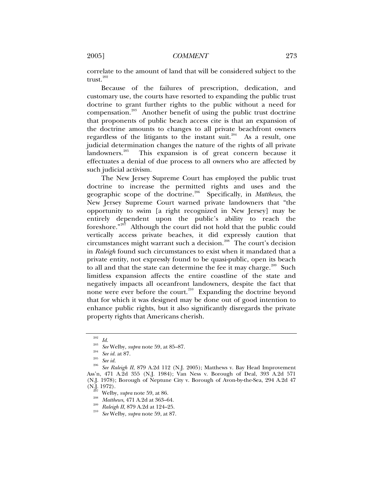correlate to the amount of land that will be considered subject to the trust.<sup>[202](#page-24-0)</sup>

Because of the failures of prescription, dedication, and customary use, the courts have resorted to expanding the public trust doctrine to grant further rights to the public without a need for compensation.<sup>[203](#page-24-1)</sup> Another benefit of using the public trust doctrine that proponents of public beach access cite is that an expansion of the doctrine amounts to changes to all private beachfront owners regardless of the litigants to the instant suit.<sup>[204](#page-24-2)</sup> As a result, one judicial determination changes the nature of the rights of all private landowners.<sup>[205](#page-24-3)</sup> This expansion is of great concern because it effectuates a denial of due process to all owners who are affected by such judicial activism.

The New Jersey Supreme Court has employed the public trust doctrine to increase the permitted rights and uses and the geographic scope of the doctrine.[206](#page-24-4) Specifically, in *Matthews*, the New Jersey Supreme Court warned private landowners that "the opportunity to swim [a right recognized in New Jersey] may be entirely dependent upon the public's ability to reach the foreshore."[207](#page-24-5) Although the court did not hold that the public could vertically access private beaches, it did expressly caution that circumstances might warrant such a decision.<sup>[208](#page-24-6)</sup> The court's decision in *Raleigh* found such circumstances to exist when it mandated that a private entity, not expressly found to be quasi-public, open its beach to all and that the state can determine the fee it may charge. $209$  Such limitless expansion affects the entire coastline of the state and negatively impacts all oceanfront landowners, despite the fact that none were ever before the court.<sup>[210](#page-24-8)</sup> Expanding the doctrine beyond that for which it was designed may be done out of good intention to enhance public rights, but it also significantly disregards the private property rights that Americans cherish.

<span id="page-24-4"></span><span id="page-24-3"></span><span id="page-24-2"></span><span id="page-24-1"></span><span id="page-24-0"></span><sup>202</sup> *Id.* <sup>203</sup> *See* Welby, *supra* note 59, at 85–87. 204 *See id.* at 87. 205 *See id.* <sup>206</sup> *See Raleigh II*, 879 A.2d 112 (N.J. 2005); Matthews v. Bay Head Improvement Ass'n, 471 A.2d 355 (N.J. 1984); Van Ness v. Borough of Deal, 393 A.2d 571 (N.J. 1978); Borough of Neptune City v. Borough of Avon-by-the-Sea, 294 A.2d 47 (N.J. 1972).

<span id="page-24-8"></span><span id="page-24-7"></span><span id="page-24-6"></span><span id="page-24-5"></span><sup>(</sup>N.J. 1972). 207 Welby, *supra* note 59, at 86. 208 *Matthews*, 471 A.2d at 363–64. 209 *Raleigh II*, 879 A.2d at 124–25. 210 *See* Welby, *supra* note 59, at 87.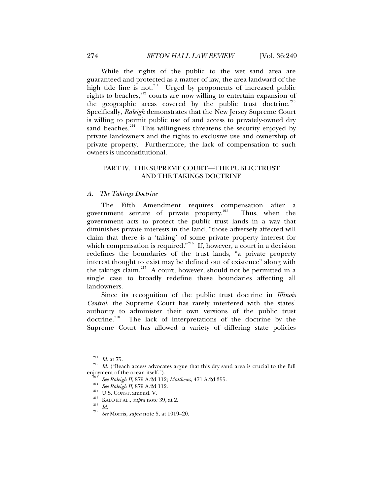While the rights of the public to the wet sand area are guaranteed and protected as a matter of law, the area landward of the high tide line is not.<sup>[211](#page-25-0)</sup> Urged by proponents of increased public rights to beaches, $212$  courts are now willing to entertain expansion of the geographic areas covered by the public trust doctrine.<sup>[213](#page-25-2)</sup> Specifically, *Raleigh* demonstrates that the New Jersey Supreme Court is willing to permit public use of and access to privately-owned dry sand beaches. $214$  This willingness threatens the security enjoyed by private landowners and the rights to exclusive use and ownership of private property. Furthermore, the lack of compensation to such owners is unconstitutional.

# PART IV. THE SUPREME COURT—THE PUBLIC TRUST AND THE TAKINGS DOCTRINE

#### *A. The Takings Doctrine*

The Fifth Amendment requires compensation after a government seizure of private property.<sup>[215](#page-25-4)</sup> Thus, when the government acts to protect the public trust lands in a way that diminishes private interests in the land, "those adversely affected will claim that there is a 'taking' of some private property interest for which compensation is required."<sup>[216](#page-25-5)</sup> If, however, a court in a decision redefines the boundaries of the trust lands, "a private property interest thought to exist may be defined out of existence" along with the takings claim.<sup>[217](#page-25-6)</sup> A court, however, should not be permitted in a single case to broadly redefine these boundaries affecting all landowners.

Since its recognition of the public trust doctrine in *Illinois Central*, the Supreme Court has rarely interfered with the states' authority to administer their own versions of the public trust doctrine.<sup>[218](#page-25-7)</sup> The lack of interpretations of the doctrine by the Supreme Court has allowed a variety of differing state policies

 $\frac{211}{212}$  *Id.* at 75. *Id.* ("Beach access advocates argue that this dry sand area is crucial to the full

<span id="page-25-5"></span><span id="page-25-4"></span><span id="page-25-3"></span><span id="page-25-2"></span><span id="page-25-1"></span><span id="page-25-0"></span>enjoyment of the ocean itself.").<br>
<sup>213</sup> See Raleigh II, 879 A.2d 112; Matthews, 471 A.2d 355.<br>
<sup>214</sup> See Raleigh II, 879 A.2d 112.<br>
<sup>215</sup> U.S. CONST. amend. V.<br>
<sup>216</sup> KALO ET AL., *supra* note 39, at 2.<br>
<sup>217</sup> Id.<br>
<sup>218</sup>

<span id="page-25-7"></span><span id="page-25-6"></span>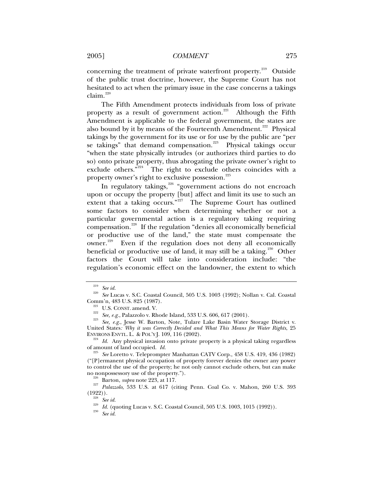concerning the treatment of private waterfront property.<sup>[219](#page-26-0)</sup> Outside of the public trust doctrine, however, the Supreme Court has not hesitated to act when the primary issue in the case concerns a takings  $\text{claim.}^{220}$  $\text{claim.}^{220}$  $\text{claim.}^{220}$ 

The Fifth Amendment protects individuals from loss of private property as a result of government action.<sup>[221](#page-26-2)</sup> Although the Fifth Amendment is applicable to the federal government, the states are also bound by it by means of the Fourteenth Amendment.<sup>[222](#page-26-3)</sup> Physical takings by the government for its use or for use by the public are "per se takings" that demand compensation.<sup>[223](#page-26-4)</sup> Physical takings occur "when the state physically intrudes (or authorizes third parties to do so) onto private property, thus abrogating the private owner's right to exclude others."<sup>[224](#page-26-5)</sup> The right to exclude others coincides with a property owner's right to exclusive possession.<sup>[225](#page-26-6)</sup>

In regulatory takings,<sup>[226](#page-26-7)</sup> "government actions do not encroach upon or occupy the property [but] affect and limit its use to such an extent that a taking occurs."<sup>[227](#page-26-8)</sup> The Supreme Court has outlined some factors to consider when determining whether or not a particular governmental action is a regulatory taking requiring compensation.[228](#page-26-9) If the regulation "denies all economically beneficial or productive use of the land," the state must compensate the owner.<sup>[229](#page-26-10)</sup> Even if the regulation does not deny all economically beneficial or productive use of land, it may still be a taking.<sup>[230](#page-26-11)</sup> Other factors the Court will take into consideration include: "the regulation's economic effect on the landowner, the extent to which

<span id="page-26-5"></span><span id="page-26-4"></span>ENVIRONS ENVTL. L. & POL'Y J. 109, 116 (2002).<br><sup>224</sup> *Id.* Any physical invasion onto private property is a physical taking regardless of amount of land occupied. *Id.* 

<span id="page-26-11"></span><span id="page-26-10"></span><span id="page-26-9"></span><span id="page-26-8"></span><span id="page-26-7"></span><sup>226</sup> Barton, *supra* note 223, at 117.<br><sup>227</sup> *Palazzolo*, 533 U.S. at 617 (citing Penn. Coal Co. v. Mahon, 260 U.S. 393<br>(1922)).

922)).<br><sup>228</sup> See id.<br><sup>229</sup> Id. (quoting Lucas v. S.C. Coastal Council, 505 U.S. 1003, 1015 (1992)).<br><sup>230</sup> See id.

<span id="page-26-0"></span><sup>219</sup> *See id.* <sup>220</sup> *See* Lucas v. S.C. Coastal Council, 505 U.S. 1003 (1992); Nollan v. Cal. Coastal

<span id="page-26-3"></span><span id="page-26-2"></span><span id="page-26-1"></span>Comm'n, 483 U.S. 825 (1987). 221 U.S. CONST. amend. V. 222 *See, e.g.*, Palazzolo v. Rhode Island, 533 U.S. 606, 617 (2001). 223 *See, e.g.*, Jesse W. Barton, Note, Tulare Lake Basin Water Storage District v. United States*: Why it was Correctly Decided and What This Means for Water Rights*, 25

<span id="page-26-6"></span>See Loretto v. Teleprompter Manhattan CATV Corp., 458 U.S. 419, 436 (1982) ("[P]ermanent physical occupation of property forever denies the owner any power to control the use of the property; he not only cannot exclude others, but can make no nonpossessory use of the property.").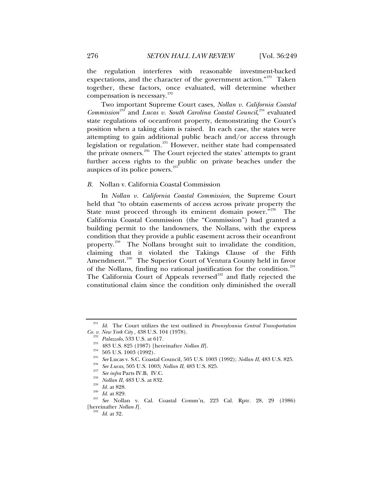the regulation interferes with reasonable investment-backed expectations, and the character of the government action."<sup>[231](#page-27-0)</sup> Taken together, these factors, once evaluated, will determine whether compensation is necessary.<sup>[232](#page-27-1)</sup>

Two important Supreme Court cases, *Nollan v. California Coastal*  Commission<sup>[233](#page-27-2)</sup> and *Lucas v. South Carolina Coastal Council*,<sup>[234](#page-27-3)</sup> evaluated state regulations of oceanfront property, demonstrating the Court's position when a taking claim is raised. In each case, the states were attempting to gain additional public beach and/or access through legislation or regulation.<sup>[235](#page-27-4)</sup> However, neither state had compensated the private owners.<sup>[236](#page-27-5)</sup> The Court rejected the states' attempts to grant further access rights to the public on private beaches under the auspices of its police powers.<sup>[237](#page-27-6)</sup>

#### *B.* Nollan v. California Coastal Commission

In *Nollan v. California Coastal Commission*, the Supreme Court held that "to obtain easements of access across private property the State must proceed through its eminent domain power."<sup>[238](#page-27-7)</sup> The California Coastal Commission (the "Commission") had granted a building permit to the landowners, the Nollans, with the express condition that they provide a public easement across their oceanfront property.<sup>[239](#page-27-8)</sup> The Nollans brought suit to invalidate the condition, claiming that it violated the Takings Clause of the Fifth Amendment.<sup>[240](#page-27-9)</sup> The Superior Court of Ventura County held in favor of the Nollans, finding no rational justification for the condition.<sup>[241](#page-27-10)</sup> The California Court of Appeals reversed<sup>[242](#page-27-11)</sup> and flatly rejected the constitutional claim since the condition only diminished the overall

<span id="page-27-0"></span><sup>&</sup>lt;sup>231</sup> *Id.* The Court utilizes the test outlined in *Pennsylvania Central Transportation Co. v. New York City*, 438 U.S. 104 (1978).

<span id="page-27-7"></span><span id="page-27-6"></span><span id="page-27-5"></span>

<span id="page-27-9"></span><span id="page-27-8"></span>

<span id="page-27-11"></span><span id="page-27-10"></span>

<span id="page-27-4"></span><span id="page-27-3"></span><span id="page-27-2"></span><span id="page-27-1"></span>Co. v. New York City, 438 U.S. 104 (1978).<br>
<sup>232</sup> Palazzolo, 533 U.S. at 617.<br>
<sup>233</sup> 483 U.S. 825 (1987) [hereinafter *Nollan II*].<br>
<sup>234</sup> 505 U.S. 1003 (1992).<br>
<sup>235</sup> See Lucas v. S.C. Coastal Council, 505 U.S. 1003 (199 [hereinafter *Nollan I*]. 242 *Id.* at 32.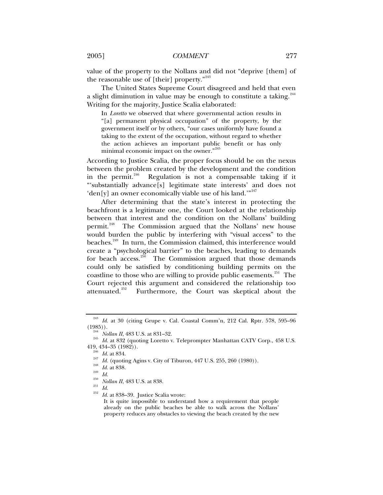value of the property to the Nollans and did not "deprive [them] of the reasonable use of [their] property."<sup>[243](#page-28-0)</sup>

The United States Supreme Court disagreed and held that even a slight diminution in value may be enough to constitute a taking.  $244$ Writing for the majority, Justice Scalia elaborated:

In *Loretto* we observed that where governmental action results in "[a] permanent physical occupation" of the property, by the government itself or by others, "our cases uniformly have found a taking to the extent of the occupation, without regard to whether the action achieves an important public benefit or has only minimal economic impact on the owner."<sup>[245](#page-28-2)</sup>

According to Justice Scalia, the proper focus should be on the nexus between the problem created by the development and the condition in the permit. $246$  Regulation is not a compensable taking if it "'substantially advance[s] legitimate state interests' and does not 'den[y] an owner economically viable use of his land.'"<sup>[247](#page-28-4)</sup>

After determining that the state's interest in protecting the beachfront is a legitimate one, the Court looked at the relationship between that interest and the condition on the Nollans' building permit.<sup>[248](#page-28-5)</sup> The Commission argued that the Nollans' new house would burden the public by interfering with "visual access" to the beaches.<sup>[249](#page-28-6)</sup> In turn, the Commission claimed, this interference would create a "psychological barrier" to the beaches, leading to demands for beach access.<sup>[250](#page-28-7)</sup> The Commission argued that those demands could only be satisfied by conditioning building permits on the coastline to those who are willing to provide public easements.<sup>[251](#page-28-8)</sup> The Court rejected this argument and considered the relationship too attenuated.<sup>[252](#page-28-9)</sup> Furthermore, the Court was skeptical about the

<span id="page-28-0"></span><sup>&</sup>lt;sup>243</sup> Id. at 30 (citing Grupe v. Cal. Coastal Comm'n, 212 Cal. Rptr. 578, 595–96 (1985)).

<span id="page-28-4"></span><span id="page-28-3"></span><span id="page-28-2"></span><span id="page-28-1"></span><sup>&</sup>lt;sup>244</sup> *Nollan II*, 483 U.S. at 831–32.<br><sup>245</sup> *Id.* at 832 (quoting Loretto v. Teleprompter Manhattan CATV Corp., 458 U.S.<br>419, 434–35 (1982)).

<sup>&</sup>lt;sup>240</sup> *Id.* at 834.<br>
<sup>247</sup> *Id.* (quoting Agins v. City of Tiburon, 447 U.S. 255, 260 (1980)).<br>
<sup>248</sup> *Id.* at 838.<br>
<sup>250</sup> *Id.*<br> *Nollan II*, 483 U.S. at 838.<br> *Id.*<br> *Id.*<br> *Id.*<br> *Id.*<br> *Id.*<br> *Id.*<br> *Id.*<br> *Id.*<br> *Id.* 

<span id="page-28-5"></span>

<span id="page-28-8"></span><span id="page-28-7"></span><span id="page-28-6"></span>

<span id="page-28-9"></span>

It is quite impossible to understand how a requirement that people already on the public beaches be able to walk across the Nollans' property reduces any obstacles to viewing the beach created by the new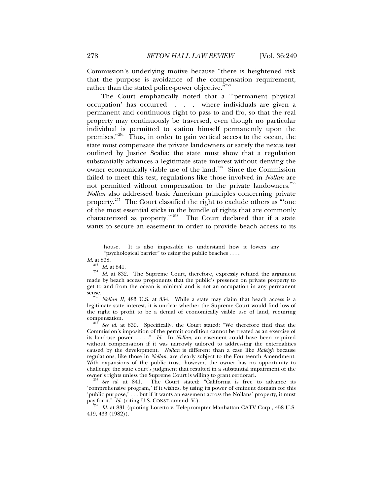Commission's underlying motive because "there is heightened risk that the purpose is avoidance of the compensation requirement, rather than the stated police-power objective."<sup>[253](#page-29-0)</sup>

The Court emphatically noted that a "'permanent physical occupation' has occurred . . . where individuals are given a permanent and continuous right to pass to and fro, so that the real property may continuously be traversed, even though no particular individual is permitted to station himself permanently upon the premises."[254](#page-29-1) Thus, in order to gain vertical access to the ocean, the state must compensate the private landowners or satisfy the nexus test outlined by Justice Scalia: the state must show that a regulation substantially advances a legitimate state interest without denying the owner economically viable use of the land.<sup>[255](#page-29-2)</sup> Since the Commission failed to meet this test, regulations like those involved in *Nollan* are not permitted without compensation to the private landowners.<sup>[256](#page-29-3)</sup> *Nollan* also addressed basic American principles concerning private property.<sup>[257](#page-29-4)</sup> The Court classified the right to exclude others as "one of the most essential sticks in the bundle of rights that are commonly characterized as property.'"[258](#page-29-5) The Court declared that if a state wants to secure an easement in order to provide beach access to its

house. It is also impossible to understand how it lowers any "psychological barrier" to using the public beaches . . . .

*Id.* at 838.

<span id="page-29-1"></span><span id="page-29-0"></span><sup>&</sup>lt;sup>253</sup> *Id.* at 841.<br><sup>254</sup> *Id.* at 832. The Supreme Court, therefore, expressly refuted the argument made by beach access proponents that the public's presence on private property to get to and from the ocean is minimal and is not an occupation in any permanent

<span id="page-29-2"></span>sense.<br><sup>255</sup> Nollan II, 483 U.S. at 834. While a state may claim that beach access is a legitimate state interest, it is unclear whether the Supreme Court would find loss of the right to profit to be a denial of economically viable use of land, requiring compensation. 256 *See id.* at 839. Specifically, the Court stated: "We therefore find that the

<span id="page-29-3"></span>Commission's imposition of the permit condition cannot be treated as an exercise of its land-use power . . . ." *Id.* In *Nollan*, an easement could have been required without compensation if it was narrowly tailored to addressing the externalities caused by the development. *Nollan* is different than a case like *Raleigh* because regulations, like those in *Nollan*, are clearly subject to the Fourteenth Amendment. With expansions of the public trust, however, the owner has no opportunity to challenge the state court's judgment that resulted in a substantial impairment of the

<span id="page-29-4"></span><sup>&</sup>lt;sup>257</sup> See id. at 841. The Court stated: "California is free to advance its 'comprehensive program,' if it wishes, by using its power of eminent domain for this 'public purpose,  $\overline{\cdot}$ ... but if it wants an easement across the Nollans' property, it must pay for it." *Id.* (citing U.S. CONST. amend. V.).

<span id="page-29-5"></span><sup>&</sup>lt;sup>258</sup> *Id.* at 831 (quoting Loretto v. Teleprompter Manhattan CATV Corp., 458 U.S. 419, 433 (1982)).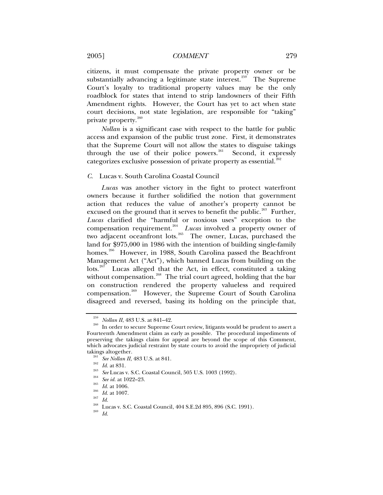citizens, it must compensate the private property owner or be substantially advancing a legitimate state interest.<sup>[259](#page-30-0)</sup> The Supreme Court's loyalty to traditional property values may be the only roadblock for states that intend to strip landowners of their Fifth Amendment rights. However, the Court has yet to act when state court decisions, not state legislation, are responsible for "taking" private property.<sup>[260](#page-30-1)</sup>

*Nollan* is a significant case with respect to the battle for public access and expansion of the public trust zone. First, it demonstrates that the Supreme Court will not allow the states to disguise takings through the use of their police powers. $261$  Second, it expressly categorizes exclusive possession of private property as essential.<sup>2</sup>

#### *C.* Lucas v. South Carolina Coastal Council

*Lucas* was another victory in the fight to protect waterfront owners because it further solidified the notion that government action that reduces the value of another's property cannot be excused on the ground that it serves to benefit the public.<sup>[263](#page-30-4)</sup> Further, *Lucas* clarified the "harmful or noxious uses" exception to the compensation requirement.<sup>[264](#page-30-5)</sup> Lucas involved a property owner of two adjacent oceanfront lots. $265$  The owner, Lucas, purchased the land for \$975,000 in 1986 with the intention of building single-family homes.<sup>[266](#page-30-7)</sup> However, in 1988, South Carolina passed the Beachfront Management Act ("Act"), which banned Lucas from building on the lots.<sup>[267](#page-30-8)</sup> Lucas alleged that the Act, in effect, constituted a taking without compensation.<sup>[268](#page-30-9)</sup> The trial court agreed, holding that the bar on construction rendered the property valueless and required compensation.[269](#page-30-10) However, the Supreme Court of South Carolina disagreed and reversed, basing its holding on the principle that,

<span id="page-30-1"></span><span id="page-30-0"></span><sup>&</sup>lt;sup>259</sup> *Nollan II*, 483 U.S. at 841–42.<br><sup>260</sup> In order to secure Supreme Court review, litigants would be prudent to assert a Fourteenth Amendment claim as early as possible. The procedural impediments of preserving the takings claim for appeal are beyond the scope of this Comment, which advocates judicial restraint by state courts to avoid the impropriety of judicial takings altogether.<br>
<sup>261</sup> *See Nollan II*, 483 U.S. at 841.<br>
<sup>262</sup> *Id.* at 831.<br>
<sup>263</sup> *See* Lucas v. S.C. Coastal Council, 505 U.S. 1003 (1992).<br>
<sup>264</sup> *See id.* at 1022–23.<br> *Id.* at 1006.<br>
<sup>265</sup> *Id.* at 1007.<br>
<sup>268</sup>

<span id="page-30-5"></span><span id="page-30-4"></span><span id="page-30-3"></span><span id="page-30-2"></span>

<span id="page-30-6"></span>

<span id="page-30-7"></span>

<span id="page-30-10"></span><span id="page-30-9"></span><span id="page-30-8"></span>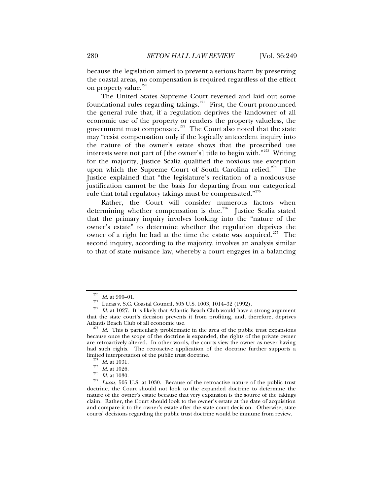because the legislation aimed to prevent a serious harm by preserving the coastal areas, no compensation is required regardless of the effect on property value.<sup>[270](#page-31-0)</sup>

The United States Supreme Court reversed and laid out some foundational rules regarding takings. $^{271}$  $^{271}$  $^{271}$  First, the Court pronounced the general rule that, if a regulation deprives the landowner of all economic use of the property or renders the property valueless, the government must compensate.<sup> $272$ </sup> The Court also noted that the state may "resist compensation only if the logically antecedent inquiry into the nature of the owner's estate shows that the proscribed use interests were not part of [the owner's] title to begin with. $1273$  $1273$  Writing for the majority, Justice Scalia qualified the noxious use exception upon which the Supreme Court of South Carolina relied.<sup>[274](#page-31-4)</sup> The Justice explained that "the legislature's recitation of a noxious-use justification cannot be the basis for departing from our categorical rule that total regulatory takings must be compensated."<sup>[275](#page-31-5)</sup>

Rather, the Court will consider numerous factors when determining whether compensation is due.<sup>[276](#page-31-6)</sup> Justice Scalia stated that the primary inquiry involves looking into the "nature of the owner's estate" to determine whether the regulation deprives the owner of a right he had at the time the estate was acquired.<sup>[277](#page-31-7)</sup> The second inquiry, according to the majority, involves an analysis similar to that of state nuisance law, whereby a court engages in a balancing

<span id="page-31-2"></span><span id="page-31-1"></span><span id="page-31-0"></span><sup>&</sup>lt;sup>270</sup> *Id.* at 900–01.<br><sup>271</sup> Lucas v. S.C. Coastal Council, 505 U.S. 1003, 1014–32 (1992).<br><sup>272</sup> *Id.* at 1027. It is likely that Atlantic Beach Club would have a strong argument that the state court's decision prevents it from profiting, and, therefore, deprives

<span id="page-31-3"></span> $273$  *Id.* This is particularly problematic in the area of the public trust expansions because once the scope of the doctrine is expanded, the rights of the private owner are retroactively altered. In other words, the courts view the owner as never having had such rights. The retroactive application of the doctrine further supports a limited interpretation of the public trust doctrine.

<span id="page-31-7"></span><span id="page-31-6"></span><span id="page-31-5"></span><span id="page-31-4"></span><sup>&</sup>lt;sup>274</sup> *Id.* at 1031.<br><sup>275</sup> *Id.* at 1026.<br><sup>277</sup> *Lucas*, 505 U.S. at 1030. Because of the retroactive nature of the public trust doctrine, the Court should not look to the expanded doctrine to determine the nature of the owner's estate because that very expansion is the source of the takings claim. Rather, the Court should look to the owner's estate at the date of acquisition and compare it to the owner's estate after the state court decision. Otherwise, state courts' decisions regarding the public trust doctrine would be immune from review.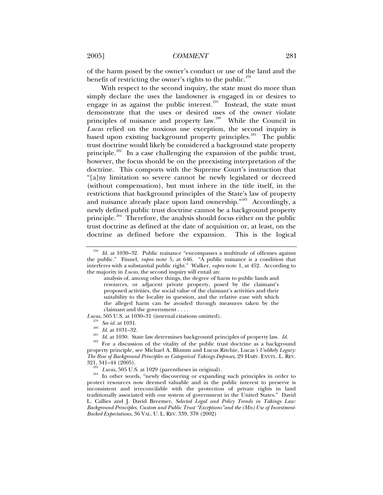of the harm posed by the owner's conduct or use of the land and the benefit of restricting the owner's rights to the public. $278$ 

With respect to the second inquiry, the state must do more than simply declare the uses the landowner is engaged in or desires to engage in as against the public interest.<sup> $279$ </sup> Instead, the state must demonstrate that the uses or desired uses of the owner violate principles of nuisance and property law.<sup>[280](#page-32-2)</sup> While the Council in *Lucas* relied on the noxious use exception, the second inquiry is based upon existing background property principles.<sup>[281](#page-32-3)</sup> The public trust doctrine would likely be considered a background state property principle.<sup>[282](#page-32-4)</sup> In a case challenging the expansion of the public trust, however, the focus should be on the preexisting interpretation of the doctrine. This comports with the Supreme Court's instruction that "[a]ny limitation so severe cannot be newly legislated or decreed (without compensation), but must inhere in the title itself, in the restrictions that background principles of the State's law of property and nuisance already place upon land ownership."<sup>[283](#page-32-5)</sup> Accordingly, a newly defined public trust doctrine cannot be a background property principle.[284](#page-32-6) Therefore, the analysis should focus either on the public trust doctrine as defined at the date of acquisition or, at least, on the doctrine as defined before the expansion. This is the logical

<span id="page-32-3"></span><span id="page-32-2"></span><span id="page-32-1"></span>

<span id="page-32-0"></span><sup>278</sup> *Id.* at 1030–32. Public nuisance "encompasses a multitude of offenses against the public." Finnel, *supra* note 5, at 646. "A public nuisance is a condition that interferes with a substantial public right." Walker, *supra* note 1, at 452. According to the majority in *Lucas*, the second inquiry will entail an:

analysis of, among other things, the degree of harm to public lands and resources, or adjacent private property, posed by the claimant's proposed activities, the social value of the claimant's activities and their suitability to the locality in question, and the relative ease with which the alleged harm can be avoided through measures taken by the claimant and the government . . . .

Lucas, 505 U.S. at 1030–31 (internal citations omitted).<br>
<sup>279</sup> See id. at 1031.<br>
<sup>279</sup> See id. at 1031–32.<br>
<sup>281</sup> Id. at 1030. State law determines background principles of property law. Id.<br>
<sup>281</sup> For a discussion of th property principle, see Michael A. Blumm and Lucus Ritchie, Lucas*'s Unlikely Legacy: The Rise of Background Principles as Categorical Takings Defenses*, 29 HARV. ENVTL. L. REV.

<span id="page-32-6"></span><span id="page-32-5"></span><span id="page-32-4"></span><sup>321, 341–44 (2005). 283</sup> *Lucas*, 505 U.S. at 1029 (parentheses in original). 284 In other words, "newly discovering or expanding such principles in order to protect resources now deemed valuable and in the public interest to preserve is inconsistent and irreconcilable with the protection of private rights in land traditionally associated with our system of government in the United States." David L. Callies and J. David Breemer, *Selected Legal and Policy Trends in Takings Law: Background Principles, Custom and Public Trust "Exceptions"and the (Mis) Use of Investment-Backed Expectations*, 36 VAL. U. L. REV. 339, 378 (2002)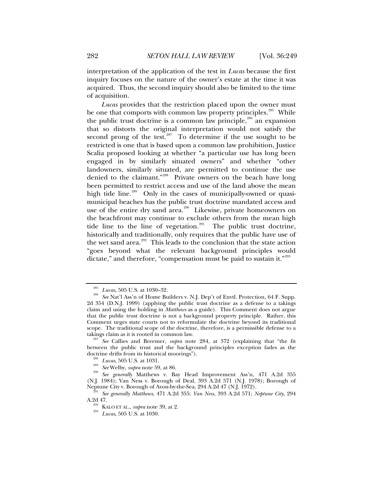interpretation of the application of the test in *Lucas* because the first inquiry focuses on the nature of the owner's estate at the time it was acquired. Thus, the second inquiry should also be limited to the time of acquisition.

*Lucas* provides that the restriction placed upon the owner must be one that comports with common law property principles.<sup>[285](#page-33-0)</sup> While the public trust doctrine is a common law principle, $286$  an expansion that so distorts the original interpretation would not satisfy the second prong of the test.<sup>[287](#page-33-2)</sup> To determine if the use sought to be restricted is one that is based upon a common law prohibition, Justice Scalia proposed looking at whether "a particular use has long been engaged in by similarly situated owners" and whether "other landowners, similarly situated, are permitted to continue the use denied to the claimant."<sup>[288](#page-33-3)</sup> Private owners on the beach have long been permitted to restrict access and use of the land above the mean high tide line.<sup>[289](#page-33-4)</sup> Only in the cases of municipally-owned or quasimunicipal beaches has the public trust doctrine mandated access and use of the entire dry sand area.<sup>[290](#page-33-5)</sup> Likewise, private homeowners on the beachfront may continue to exclude others from the mean high tide line to the line of vegetation.<sup>[291](#page-33-6)</sup> The public trust doctrine, historically and traditionally, only requires that the public have use of the wet sand area. $292$  This leads to the conclusion that the state action "goes beyond what the relevant background principles would dictate," and therefore, "compensation must be paid to sustain it."<sup>[293](#page-33-8)</sup>

<span id="page-33-2"></span>between the public trust and the background principles exception fades as the

<span id="page-33-1"></span><span id="page-33-0"></span><sup>285</sup> *Lucas*, 505 U.S. at 1030–32. 286 *See* Nat'l Ass'n of Home Builders v. N.J. Dep't of Envtl. Protection, 64 F. Supp. 2d 354 (D.N.J. 1999) (applying the public trust doctrine as a defense to a takings claim and using the holding in *Matthews* as a guide). This Comment does not argue that the public trust doctrine is not a background property principle. Rather, this Comment urges state courts not to reformulate the doctrine beyond its traditional scope. The traditional scope of the doctrine, therefore, is a permissible defense to a takings claim as it is rooted in common law. 287 *See* Callies and Breemer, *supra* note 284, at 372 (explaining that "the fit

<span id="page-33-5"></span><span id="page-33-4"></span><span id="page-33-3"></span>doctrine drifts from its historical moorings").<br><sup>288</sup> *Lucas*, 505 U.S. at 1031.<br><sup>290</sup> *See* Welby, *supra* note 59, at 86. <br>*290 See generally* Matthews v. Bay Head Improvement Ass'n, 471 A.2d 355 (N.J. 1984); Van Ness v. Borough of Deal, 393 A.2d 571 (N.J. 1978); Borough of

<span id="page-33-8"></span><span id="page-33-7"></span><span id="page-33-6"></span><sup>&</sup>lt;sup>291</sup> See generally Matthews, 471 A.2d 355; *Van Ness*, 393 A.2d 571; *Neptune City*, 294 A.2d 47.

<sup>&</sup>lt;sup>292</sup> KALO ET AL., *supra* note 39, at 2.<br><sup>293</sup> Lucas, 505 U.S. at 1030.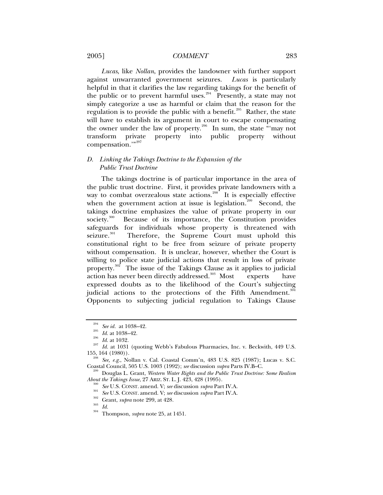## 2005] *COMMENT* 283

*Lucas*, like *Nollan*, provides the landowner with further support against unwarranted government seizures. *Lucas* is particularly helpful in that it clarifies the law regarding takings for the benefit of the public or to prevent harmful uses.<sup>[294](#page-34-0)</sup> Presently, a state may not simply categorize a use as harmful or claim that the reason for the regulation is to provide the public with a benefit.<sup>[295](#page-34-1)</sup> Rather, the state will have to establish its argument in court to escape compensating the owner under the law of property.<sup>[296](#page-34-2)</sup> In sum, the state "may not transform private property into public property without compensation."<sup>[297](#page-34-3)</sup>

# *D. Linking the Takings Doctrine to the Expansion of the Public Trust Doctrine*

The takings doctrine is of particular importance in the area of the public trust doctrine. First, it provides private landowners with a way to combat overzealous state actions.<sup>[298](#page-34-4)</sup> It is especially effective when the government action at issue is legislation.<sup>[299](#page-34-5)</sup> Second, the takings doctrine emphasizes the value of private property in our society.<sup>[300](#page-34-6)</sup> Because of its importance, the Constitution provides safeguards for individuals whose property is threatened with seizure.<sup>[301](#page-34-7)</sup> Therefore, the Supreme Court must uphold this constitutional right to be free from seizure of private property without compensation. It is unclear, however, whether the Court is willing to police state judicial actions that result in loss of private property.<sup>[302](#page-34-8)</sup> The issue of the Takings Clause as it applies to judicial action has never been directly addressed.<sup>[303](#page-34-9)</sup> Most experts have expressed doubts as to the likelihood of the Court's subjecting judicial actions to the protections of the Fifth Amendment.<sup>[304](#page-34-10)</sup> Opponents to subjecting judicial regulation to Takings Clause

<span id="page-34-2"></span><span id="page-34-1"></span><span id="page-34-0"></span><sup>&</sup>lt;sup>294</sup> See id. at 1038–42.<br><sup>295</sup> *Id.* at 1038–42.<br><sup>296</sup> *Id.* at 1032.<br><sup>297</sup> *Id.* at 1031 (quoting Webb's Fabulous Pharmacies, Inc. v. Beckwith, 449 U.S.<br>155, 164 (1980)).

<span id="page-34-4"></span><span id="page-34-3"></span><sup>&</sup>lt;sup>298</sup> See, e.g., Nollan v. Cal. Coastal Comm'n, 483 U.S. 825 (1987); Lucas v. S.C.<br>Coastal Council, 505 U.S. 1003 (1992); see discussion *subra* Parts IV.B–C.

<span id="page-34-8"></span><span id="page-34-7"></span><span id="page-34-6"></span><span id="page-34-5"></span><sup>&</sup>lt;sup>299</sup> Douglas L. Grant, *Western Water Rights and the Public Trust Doctrine: Some Realism About the Takings Issue, 27 ARIZ. St. L. J. 423, 428 (1995).* 

<sup>&</sup>lt;sup>300</sup> See U.S. CONST. amend. V; see discussion *supra* Part IV.A.<br><sup>301</sup> See U.S. CONST. amend. V; see discussion *supra* Part IV.A.<br><sup>302</sup> Grant, *supra* note 299, at 428.<br>*Id.* Thompson, *supra* note 25, at 1451.

<span id="page-34-10"></span><span id="page-34-9"></span>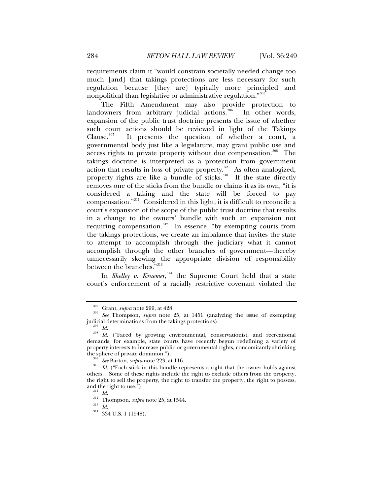requirements claim it "would constrain societally needed change too much [and] that takings protections are less necessary for such regulation because [they are] typically more principled and nonpolitical than legislative or administrative regulation."<sup>30</sup>

The Fifth Amendment may also provide protection to landowners from arbitrary judicial actions.<sup>[306](#page-35-1)</sup> In other words, expansion of the public trust doctrine presents the issue of whether such court actions should be reviewed in light of the Takings Clause. $307$  It presents the question of whether a court, a governmental body just like a legislature, may grant public use and access rights to private property without due compensation.<sup>[308](#page-35-3)</sup> The takings doctrine is interpreted as a protection from government action that results in loss of private property. $309$  As often analogized, property rights are like a bundle of sticks.<sup>[310](#page-35-5)</sup> If the state directly removes one of the sticks from the bundle or claims it as its own, "it is considered a taking and the state will be forced to pay compensation."[311](#page-35-6) Considered in this light, it is difficult to reconcile a court's expansion of the scope of the public trust doctrine that results in a change to the owners' bundle with such an expansion not requiring compensation.<sup>[312](#page-35-7)</sup> In essence, "by exempting courts from the takings protections, we create an imbalance that invites the state to attempt to accomplish through the judiciary what it cannot accomplish through the other branches of government—thereby unnecessarily skewing the appropriate division of responsibility between the branches."<sup>[313](#page-35-8)</sup>

In *Shelley v. Kraemer*, [314](#page-35-9) the Supreme Court held that a state court's enforcement of a racially restrictive covenant violated the

<sup>305</sup> Grant, *supra* note 299, at 428*.* <sup>306</sup> *See* Thompson, *supra* note 25, at 1451 (analyzing the issue of exempting

<span id="page-35-3"></span><span id="page-35-2"></span><span id="page-35-1"></span><span id="page-35-0"></span>judicial determinations from the takings protections).<br><sup>307</sup> *Id.* ("Faced by growing environmental, conservationist, and recreational *Id.* ("Faced by growing environmental, conservationist, and recreational demands, for example, state courts have recently begun redefining a variety of property interests to increase public or governmental rights, concomitantly shrinking

<span id="page-35-5"></span><span id="page-35-4"></span><sup>&</sup>lt;sup>309</sup> See Barton, *supra* note 223, at 116.  $Id$ . ("Each stick in this bundle represents a right that the owner holds against others. Some of these rights include the right to exclude others from the property, the right to sell the property, the right to transfer the property, the right to possess, and the right to use.").

<sup>&</sup>lt;sup>312</sup> *Id.* Thompson, *supra* note 25, at 1544. <sup>313</sup> *Id.* 334 U.S. 1 (1948).

<span id="page-35-9"></span><span id="page-35-8"></span><span id="page-35-7"></span><span id="page-35-6"></span>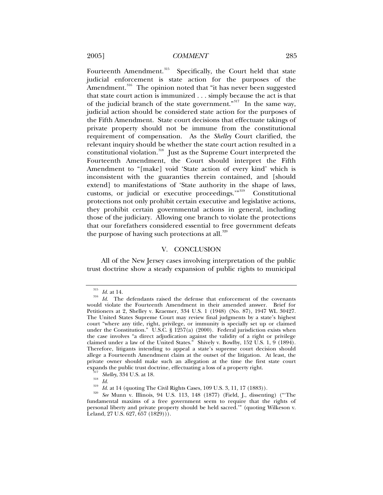Fourteenth Amendment.<sup>[315](#page-36-0)</sup> Specifically, the Court held that state judicial enforcement is state action for the purposes of the Amendment.<sup>[316](#page-36-1)</sup> The opinion noted that "it has never been suggested that state court action is immunized . . . simply because the act is that of the judicial branch of the state government."[317](#page-36-2) In the same way, judicial action should be considered state action for the purposes of the Fifth Amendment. State court decisions that effectuate takings of private property should not be immune from the constitutional requirement of compensation. As the *Shelley* Court clarified, the relevant inquiry should be whether the state court action resulted in a constitutional violation.<sup>[318](#page-36-3)</sup> Just as the Supreme Court interpreted the Fourteenth Amendment, the Court should interpret the Fifth Amendment to "[make] void 'State action of every kind' which is inconsistent with the guaranties therein contained, and [should extend] to manifestations of 'State authority in the shape of laws, customs, or judicial or executive proceedings.'"[319](#page-36-4) Constitutional protections not only prohibit certain executive and legislative actions, they prohibit certain governmental actions in general, including those of the judiciary. Allowing one branch to violate the protections that our forefathers considered essential to free government defeats the purpose of having such protections at all.<sup>[320](#page-36-5)</sup>

## V. CONCLUSION

All of the New Jersey cases involving interpretation of the public trust doctrine show a steady expansion of public rights to municipal

<span id="page-36-1"></span><span id="page-36-0"></span><sup>&</sup>lt;sup>315</sup> *Id.* at 14.<br><sup>316</sup> *Id.* The defendants raised the defense that enforcement of the covenants would violate the Fourteenth Amendment in their amended answer. Brief for Petitioners at 2, Shelley v. Kraemer, 334 U.S. 1 (1948) (No. 87), 1947 WL 30427. The United States Supreme Court may review final judgments by a state's highest court "where any title, right, privilege, or immunity is specially set up or claimed under the Constitution." U.S.C. § 1257(a) (2000). Federal jurisdiction exists when the case involves "a direct adjudication against the validity of a right or privilege claimed under a law of the United States." Shively v. Bowlby, 152 U.S. 1, 9 (1894). Therefore, litigants intending to appeal a state's supreme court decision should allege a Fourteenth Amendment claim at the outset of the litigation. At least, the private owner should make such an allegation at the time the first state court expands the public trust doctrine, effectuating a loss of a property right.

<span id="page-36-5"></span><span id="page-36-4"></span><span id="page-36-3"></span><span id="page-36-2"></span><sup>&</sup>lt;sup>317</sup> Shelley, 334 U.S. at 18.<br><sup>318</sup> Id.<br><sup>319</sup> Id. at 14 (quoting The Civil Rights Cases, 109 U.S. 3, 11, 17 (1883)).<br><sup>320</sup> *See* Munn v. Illinois, 94 U.S. 113, 148 (1877) (Field, J., dissenting) ("The fundamental maxims of a free government seem to require that the rights of personal liberty and private property should be held sacred.'" (quoting Wilkeson v. Leland, 27 U.S. 627, 657 (1829))).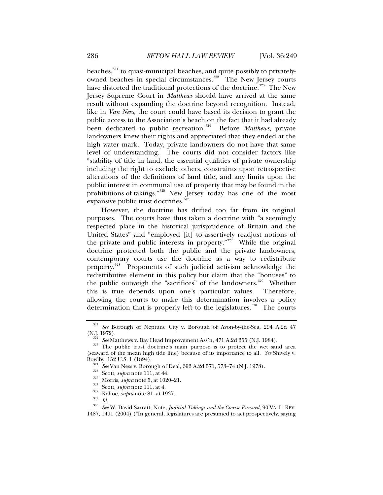beaches,<sup>[321](#page-37-0)</sup> to quasi-municipal beaches, and quite possibly to privately-owned beaches in special circumstances.<sup>[322](#page-37-1)</sup> The New Jersey courts have distorted the traditional protections of the doctrine.<sup>[323](#page-37-2)</sup> The New Jersey Supreme Court in *Matthews* should have arrived at the same result without expanding the doctrine beyond recognition. Instead, like in *Van Ness,* the court could have based its decision to grant the public access to the Association's beach on the fact that it had already been dedicated to public recreation.<sup>[324](#page-37-3)</sup> Before *Matthews*, private landowners knew their rights and appreciated that they ended at the high water mark. Today, private landowners do not have that same level of understanding. The courts did not consider factors like "stability of title in land, the essential qualities of private ownership including the right to exclude others, constraints upon retrospective alterations of the definitions of land title, and any limits upon the

public interest in communal use of property that may be found in the prohibitions of takings."<sup>[325](#page-37-4)</sup> New Jersey today has one of the most expansive public trust doctrines.<sup>32</sup>

However, the doctrine has drifted too far from its original purposes. The courts have thus taken a doctrine with "a seemingly respected place in the historical jurisprudence of Britain and the United States" and "employed [it] to assertively readjust notions of the private and public interests in property."<sup>[327](#page-37-6)</sup> While the original doctrine protected both the public and the private landowners, contemporary courts use the doctrine as a way to redistribute property.<sup>[328](#page-37-7)</sup> Proponents of such judicial activism acknowledge the redistributive element in this policy but claim that the "bonuses" to the public outweigh the "sacrifices" of the landowners.<sup>[329](#page-37-8)</sup> Whether this is true depends upon one's particular values. Therefore, allowing the courts to make this determination involves a policy determination that is properly left to the legislatures.<sup>[330](#page-37-9)</sup> The courts

<sup>321</sup> *See* Borough of Neptune City v. Borough of Avon-by-the-Sea, 294 A.2d 47

<span id="page-37-3"></span><span id="page-37-2"></span><span id="page-37-1"></span><span id="page-37-0"></span><sup>(</sup>N.J. 1972). 322 *See* Matthews v. Bay Head Improvement Ass'n, 471 A.2d 355 (N.J. 1984). 323 The public trust doctrine's main purpose is to protect the wet sand area (seaward of the mean high tide line) because of its importance to all. *See* Shively v. Bowlby, 152 U.S. 1 (1894).<br>
<sup>324</sup> See Van Ness v. Borough of Deal, 393 A.2d 571, 573–74 (N.J. 1978).<br>
<sup>325</sup> Scott, *supra* note 111, at 44.<br>
<sup>325</sup> Morris, *supra* note 5, at 1020–21.<br>
<sup>327</sup> Scott, *supra* note 111, at 4.<br>

<span id="page-37-4"></span>

<span id="page-37-5"></span>

<span id="page-37-9"></span><span id="page-37-8"></span><span id="page-37-7"></span><span id="page-37-6"></span><sup>1487, 1491 (2004) (&</sup>quot;In general, legislatures are presumed to act prospectively, saying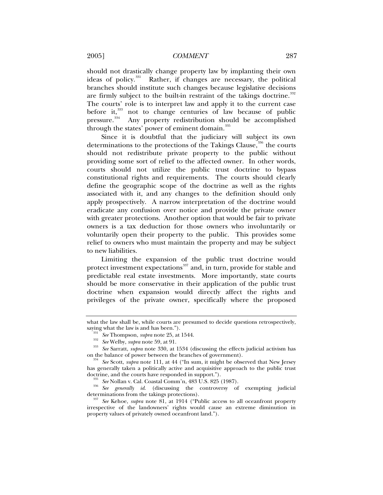should not drastically change property law by implanting their own ideas of policy.<sup>331</sup> Rather, if changes are necessary, the political Rather, if changes are necessary, the political branches should institute such changes because legislative decisions are firmly subject to the built-in restraint of the takings doctrine.<sup>[332](#page-38-1)</sup> The courts' role is to interpret law and apply it to the current case before it,<sup>[333](#page-38-2)</sup> not to change centuries of law because of public pressure.<sup>[334](#page-38-3)</sup> Any property redistribution should be accomplished through the states' power of eminent domain.<sup>[335](#page-38-4)</sup>

Since it is doubtful that the judiciary will subject its own determinations to the protections of the Takings Clause,<sup>[336](#page-38-5)</sup> the courts should not redistribute private property to the public without providing some sort of relief to the affected owner. In other words, courts should not utilize the public trust doctrine to bypass constitutional rights and requirements. The courts should clearly define the geographic scope of the doctrine as well as the rights associated with it, and any changes to the definition should only apply prospectively. A narrow interpretation of the doctrine would eradicate any confusion over notice and provide the private owner with greater protections. Another option that would be fair to private owners is a tax deduction for those owners who involuntarily or voluntarily open their property to the public. This provides some relief to owners who must maintain the property and may be subject to new liabilities.

Limiting the expansion of the public trust doctrine would protect investment expectations $337$  and, in turn, provide for stable and predictable real estate investments. More importantly, state courts should be more conservative in their application of the public trust doctrine when expansion would directly affect the rights and privileges of the private owner, specifically where the proposed

what the law shall be, while courts are presumed to decide questions retrospectively,

<span id="page-38-1"></span><span id="page-38-0"></span>saying what the law is and has been.").<br>
<sup>331</sup> See Thompson, *supra* note 25, at 1544.<br>
<sup>332</sup> See Welby, *supra* note 59, at 91.<br>
<sup>333</sup> See Sarratt, *supra* note 330, at 1534 (discussing the effects judicial activism has

<span id="page-38-3"></span><span id="page-38-2"></span><sup>&</sup>lt;sup>334</sup> See Scott, *supra* note 111, at 44 ("In sum, it might be observed that New Jersey has generally taken a politically active and acquisitive approach to the public trust doctrine, and the courts have responded in support.").

<span id="page-38-5"></span><span id="page-38-4"></span><sup>&</sup>lt;sup>335</sup> See Nollan v. Cal. Coastal Comm'n, 483 U.S. 825 (1987).<br><sup>336</sup> See generally id. (discussing the controversy of exempting judicial determinations from the takings protections).

<span id="page-38-6"></span><sup>337</sup> See Kehoe, *supra* note 81, at 1914 ("Public access to all oceanfront property irrespective of the landowners' rights would cause an extreme diminution in property values of privately owned oceanfront land.").